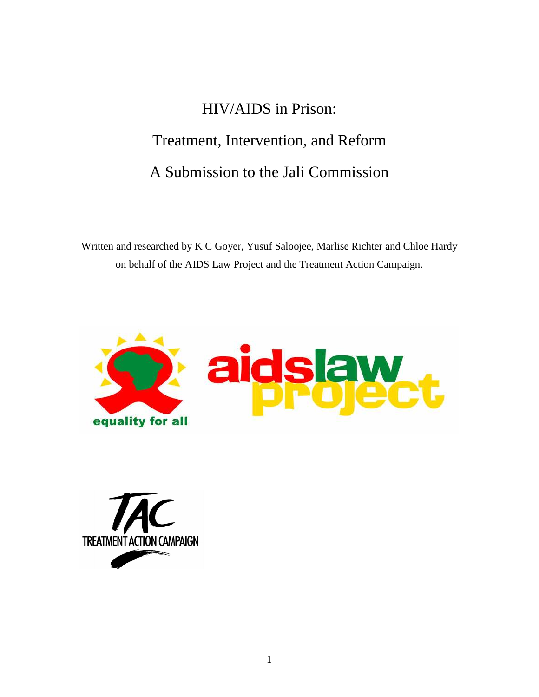# HIV/AIDS in Prison: Treatment, Intervention, and Reform A Submission to the Jali Commission

Written and researched by K C Goyer, Yusuf Saloojee, Marlise Richter and Chloe Hardy on behalf of the AIDS Law Project and the Treatment Action Campaign.



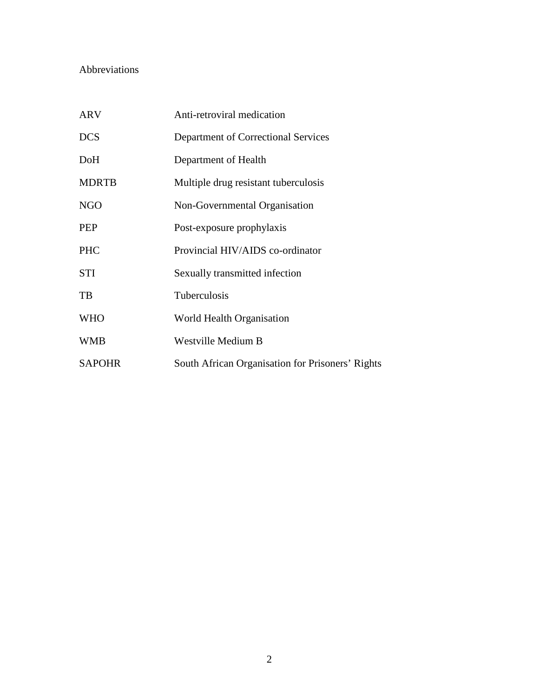# Abbreviations

| <b>ARV</b>    | Anti-retroviral medication                       |
|---------------|--------------------------------------------------|
| <b>DCS</b>    | Department of Correctional Services              |
| DoH           | Department of Health                             |
| <b>MDRTB</b>  | Multiple drug resistant tuberculosis             |
| <b>NGO</b>    | Non-Governmental Organisation                    |
| PEP           | Post-exposure prophylaxis                        |
| <b>PHC</b>    | Provincial HIV/AIDS co-ordinator                 |
| <b>STI</b>    | Sexually transmitted infection                   |
| TB            | Tuberculosis                                     |
| <b>WHO</b>    | World Health Organisation                        |
| <b>WMB</b>    | Westville Medium B                               |
| <b>SAPOHR</b> | South African Organisation for Prisoners' Rights |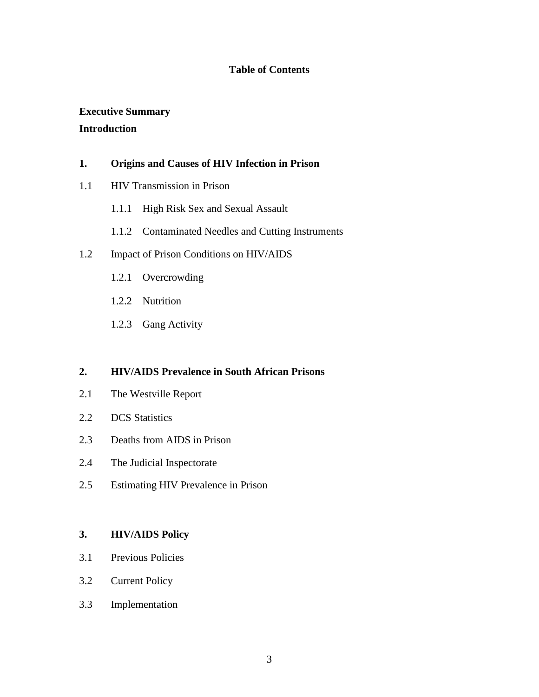## **Table of Contents**

# **Executive Summary Introduction**

## **1. Origins and Causes of HIV Infection in Prison**

- 1.1 HIV Transmission in Prison
	- 1.1.1 High Risk Sex and Sexual Assault
	- 1.1.2 Contaminated Needles and Cutting Instruments

## 1.2 Impact of Prison Conditions on HIV/AIDS

- 1.2.1 Overcrowding
- 1.2.2 Nutrition
- 1.2.3 Gang Activity

## **2. HIV/AIDS Prevalence in South African Prisons**

- 2.1 The Westville Report
- 2.2 DCS Statistics
- 2.3 Deaths from AIDS in Prison
- 2.4 The Judicial Inspectorate
- 2.5 Estimating HIV Prevalence in Prison

## **3. HIV/AIDS Policy**

- 3.1 Previous Policies
- 3.2 Current Policy
- 3.3 Implementation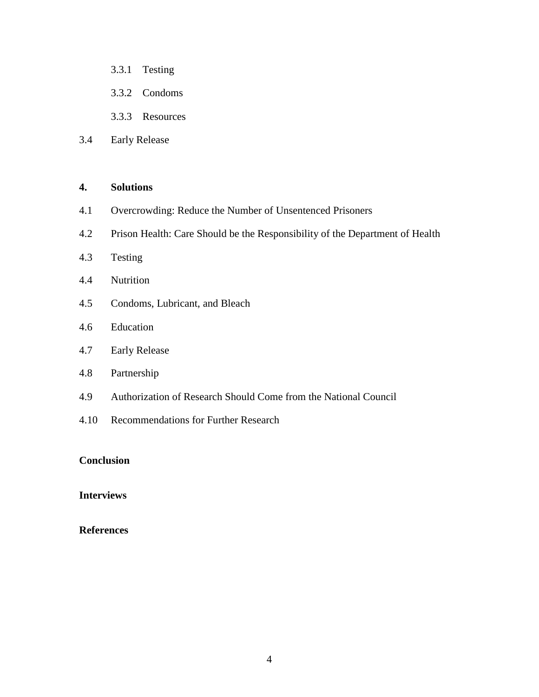- 3.3.1 Testing
- 3.3.2 Condoms
- 3.3.3 Resources
- 3.4 Early Release

## **4. Solutions**

- 4.1 Overcrowding: Reduce the Number of Unsentenced Prisoners
- 4.2 Prison Health: Care Should be the Responsibility of the Department of Health
- 4.3 Testing
- 4.4 Nutrition
- 4.5 Condoms, Lubricant, and Bleach
- 4.6 Education
- 4.7 Early Release
- 4.8 Partnership
- 4.9 Authorization of Research Should Come from the National Council
- 4.10 Recommendations for Further Research

## **Conclusion**

## **Interviews**

## **References**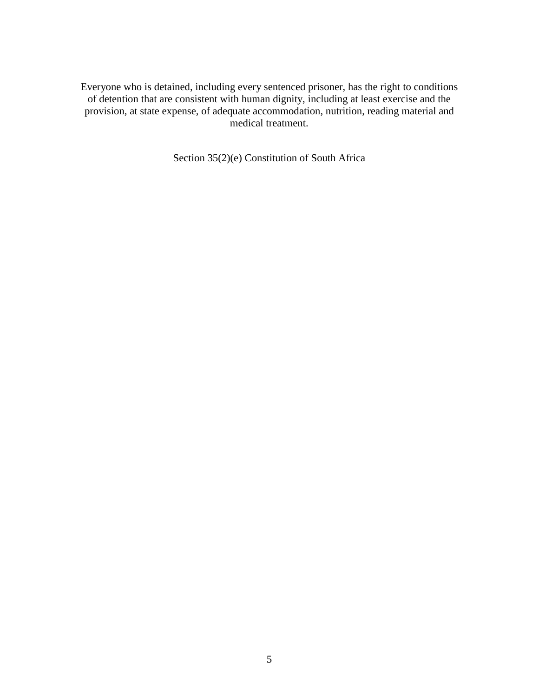Everyone who is detained, including every sentenced prisoner, has the right to conditions of detention that are consistent with human dignity, including at least exercise and the provision, at state expense, of adequate accommodation, nutrition, reading material and medical treatment.

Section 35(2)(e) Constitution of South Africa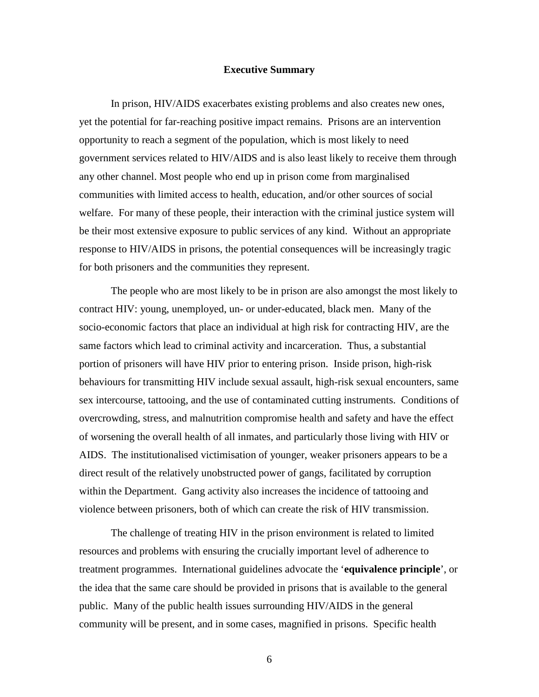## **Executive Summary**

In prison, HIV/AIDS exacerbates existing problems and also creates new ones, yet the potential for far-reaching positive impact remains. Prisons are an intervention opportunity to reach a segment of the population, which is most likely to need government services related to HIV/AIDS and is also least likely to receive them through any other channel. Most people who end up in prison come from marginalised communities with limited access to health, education, and/or other sources of social welfare. For many of these people, their interaction with the criminal justice system will be their most extensive exposure to public services of any kind. Without an appropriate response to HIV/AIDS in prisons, the potential consequences will be increasingly tragic for both prisoners and the communities they represent.

The people who are most likely to be in prison are also amongst the most likely to contract HIV: young, unemployed, un- or under-educated, black men. Many of the socio-economic factors that place an individual at high risk for contracting HIV, are the same factors which lead to criminal activity and incarceration. Thus, a substantial portion of prisoners will have HIV prior to entering prison. Inside prison, high-risk behaviours for transmitting HIV include sexual assault, high-risk sexual encounters, same sex intercourse, tattooing, and the use of contaminated cutting instruments. Conditions of overcrowding, stress, and malnutrition compromise health and safety and have the effect of worsening the overall health of all inmates, and particularly those living with HIV or AIDS. The institutionalised victimisation of younger, weaker prisoners appears to be a direct result of the relatively unobstructed power of gangs, facilitated by corruption within the Department. Gang activity also increases the incidence of tattooing and violence between prisoners, both of which can create the risk of HIV transmission.

 The challenge of treating HIV in the prison environment is related to limited resources and problems with ensuring the crucially important level of adherence to treatment programmes. International guidelines advocate the '**equivalence principle**', or the idea that the same care should be provided in prisons that is available to the general public. Many of the public health issues surrounding HIV/AIDS in the general community will be present, and in some cases, magnified in prisons. Specific health

6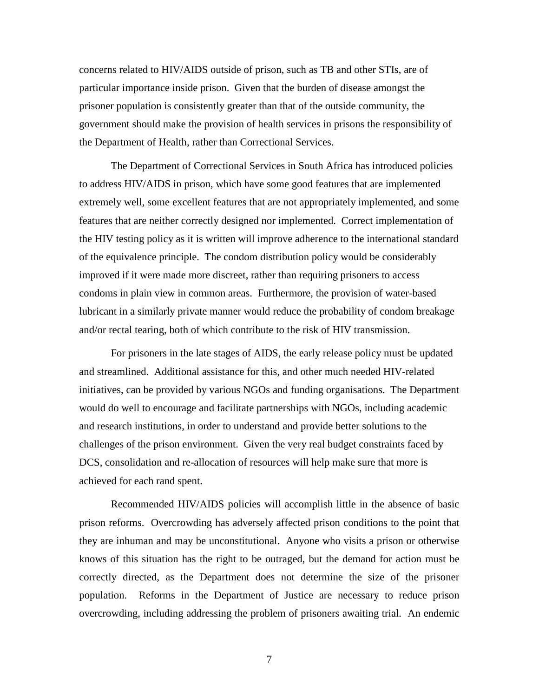concerns related to HIV/AIDS outside of prison, such as TB and other STIs, are of particular importance inside prison. Given that the burden of disease amongst the prisoner population is consistently greater than that of the outside community, the government should make the provision of health services in prisons the responsibility of the Department of Health, rather than Correctional Services.

The Department of Correctional Services in South Africa has introduced policies to address HIV/AIDS in prison, which have some good features that are implemented extremely well, some excellent features that are not appropriately implemented, and some features that are neither correctly designed nor implemented. Correct implementation of the HIV testing policy as it is written will improve adherence to the international standard of the equivalence principle. The condom distribution policy would be considerably improved if it were made more discreet, rather than requiring prisoners to access condoms in plain view in common areas. Furthermore, the provision of water-based lubricant in a similarly private manner would reduce the probability of condom breakage and/or rectal tearing, both of which contribute to the risk of HIV transmission.

For prisoners in the late stages of AIDS, the early release policy must be updated and streamlined. Additional assistance for this, and other much needed HIV-related initiatives, can be provided by various NGOs and funding organisations. The Department would do well to encourage and facilitate partnerships with NGOs, including academic and research institutions, in order to understand and provide better solutions to the challenges of the prison environment. Given the very real budget constraints faced by DCS, consolidation and re-allocation of resources will help make sure that more is achieved for each rand spent.

Recommended HIV/AIDS policies will accomplish little in the absence of basic prison reforms. Overcrowding has adversely affected prison conditions to the point that they are inhuman and may be unconstitutional. Anyone who visits a prison or otherwise knows of this situation has the right to be outraged, but the demand for action must be correctly directed, as the Department does not determine the size of the prisoner population. Reforms in the Department of Justice are necessary to reduce prison overcrowding, including addressing the problem of prisoners awaiting trial. An endemic

7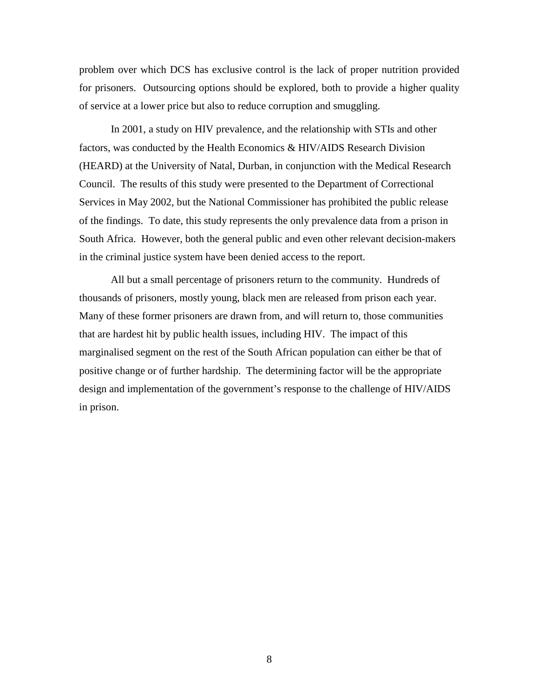problem over which DCS has exclusive control is the lack of proper nutrition provided for prisoners. Outsourcing options should be explored, both to provide a higher quality of service at a lower price but also to reduce corruption and smuggling.

In 2001, a study on HIV prevalence, and the relationship with STIs and other factors, was conducted by the Health Economics & HIV/AIDS Research Division (HEARD) at the University of Natal, Durban, in conjunction with the Medical Research Council. The results of this study were presented to the Department of Correctional Services in May 2002, but the National Commissioner has prohibited the public release of the findings. To date, this study represents the only prevalence data from a prison in South Africa. However, both the general public and even other relevant decision-makers in the criminal justice system have been denied access to the report.

All but a small percentage of prisoners return to the community. Hundreds of thousands of prisoners, mostly young, black men are released from prison each year. Many of these former prisoners are drawn from, and will return to, those communities that are hardest hit by public health issues, including HIV. The impact of this marginalised segment on the rest of the South African population can either be that of positive change or of further hardship. The determining factor will be the appropriate design and implementation of the government's response to the challenge of HIV/AIDS in prison.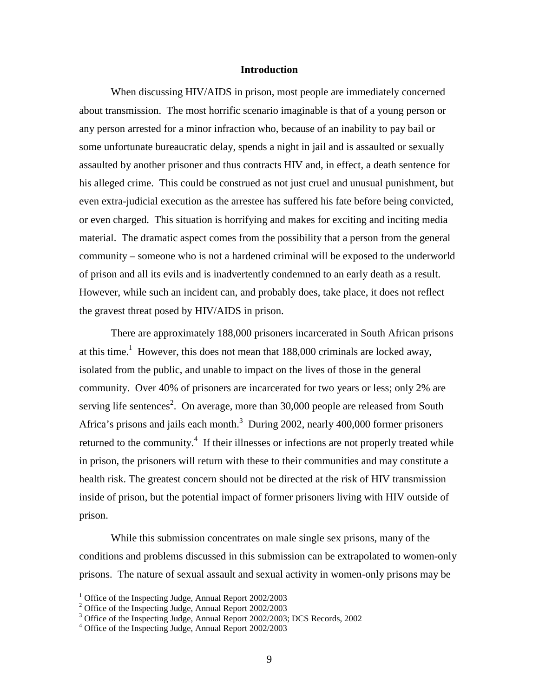#### **Introduction**

 When discussing HIV/AIDS in prison, most people are immediately concerned about transmission. The most horrific scenario imaginable is that of a young person or any person arrested for a minor infraction who, because of an inability to pay bail or some unfortunate bureaucratic delay, spends a night in jail and is assaulted or sexually assaulted by another prisoner and thus contracts HIV and, in effect, a death sentence for his alleged crime. This could be construed as not just cruel and unusual punishment, but even extra-judicial execution as the arrestee has suffered his fate before being convicted, or even charged. This situation is horrifying and makes for exciting and inciting media material. The dramatic aspect comes from the possibility that a person from the general community – someone who is not a hardened criminal will be exposed to the underworld of prison and all its evils and is inadvertently condemned to an early death as a result. However, while such an incident can, and probably does, take place, it does not reflect the gravest threat posed by HIV/AIDS in prison.

There are approximately 188,000 prisoners incarcerated in South African prisons at this time.<sup>1</sup> However, this does not mean that  $188,000$  criminals are locked away, isolated from the public, and unable to impact on the lives of those in the general community. Over 40% of prisoners are incarcerated for two years or less; only 2% are serving life sentences<sup>2</sup>. On average, more than  $30,000$  people are released from South Africa's prisons and jails each month.<sup>3</sup> During 2002, nearly 400,000 former prisoners returned to the community.<sup>4</sup> If their illnesses or infections are not properly treated while in prison, the prisoners will return with these to their communities and may constitute a health risk. The greatest concern should not be directed at the risk of HIV transmission inside of prison, but the potential impact of former prisoners living with HIV outside of prison.

While this submission concentrates on male single sex prisons, many of the conditions and problems discussed in this submission can be extrapolated to women-only prisons. The nature of sexual assault and sexual activity in women-only prisons may be

<sup>&</sup>lt;sup>1</sup> Office of the Inspecting Judge, Annual Report 2002/2003

<sup>2</sup> Office of the Inspecting Judge, Annual Report 2002/2003

<sup>&</sup>lt;sup>3</sup> Office of the Inspecting Judge, Annual Report 2002/2003; DCS Records, 2002

<sup>4</sup> Office of the Inspecting Judge, Annual Report 2002/2003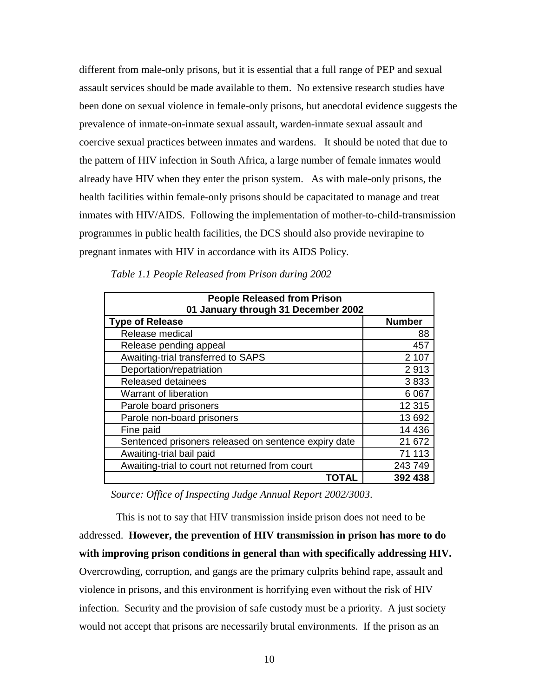different from male-only prisons, but it is essential that a full range of PEP and sexual assault services should be made available to them. No extensive research studies have been done on sexual violence in female-only prisons, but anecdotal evidence suggests the prevalence of inmate-on-inmate sexual assault, warden-inmate sexual assault and coercive sexual practices between inmates and wardens. It should be noted that due to the pattern of HIV infection in South Africa, a large number of female inmates would already have HIV when they enter the prison system. As with male-only prisons, the health facilities within female-only prisons should be capacitated to manage and treat inmates with HIV/AIDS. Following the implementation of mother-to-child-transmission programmes in public health facilities, the DCS should also provide nevirapine to pregnant inmates with HIV in accordance with its AIDS Policy.

| <b>People Released from Prison</b><br>01 January through 31 December 2002 |               |  |  |  |
|---------------------------------------------------------------------------|---------------|--|--|--|
| <b>Type of Release</b>                                                    | <b>Number</b> |  |  |  |
| Release medical                                                           | 88            |  |  |  |
| Release pending appeal                                                    | 457           |  |  |  |
| Awaiting-trial transferred to SAPS                                        | 2 107         |  |  |  |
| Deportation/repatriation                                                  | 2913          |  |  |  |
| <b>Released detainees</b>                                                 | 3833          |  |  |  |
| Warrant of liberation                                                     | 6 0 67        |  |  |  |
| Parole board prisoners                                                    | 12 3 15       |  |  |  |
| Parole non-board prisoners                                                | 13 692        |  |  |  |
| Fine paid                                                                 | 14 4 36       |  |  |  |
| Sentenced prisoners released on sentence expiry date                      | 21 672        |  |  |  |
| Awaiting-trial bail paid                                                  | 71 113        |  |  |  |
| Awaiting-trial to court not returned from court                           | 243 749       |  |  |  |
| TOTAL                                                                     | 392 438       |  |  |  |

*Table 1.1 People Released from Prison during 2002* 

*Source: Office of Inspecting Judge Annual Report 2002/3003*.

 This is not to say that HIV transmission inside prison does not need to be addressed. **However, the prevention of HIV transmission in prison has more to do with improving prison conditions in general than with specifically addressing HIV.** Overcrowding, corruption, and gangs are the primary culprits behind rape, assault and violence in prisons, and this environment is horrifying even without the risk of HIV infection. Security and the provision of safe custody must be a priority. A just society would not accept that prisons are necessarily brutal environments. If the prison as an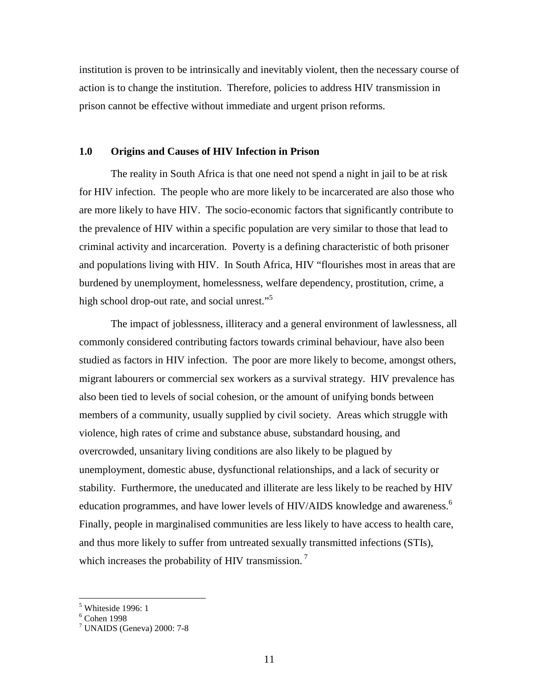institution is proven to be intrinsically and inevitably violent, then the necessary course of action is to change the institution. Therefore, policies to address HIV transmission in prison cannot be effective without immediate and urgent prison reforms.

## **1.0 Origins and Causes of HIV Infection in Prison**

The reality in South Africa is that one need not spend a night in jail to be at risk for HIV infection. The people who are more likely to be incarcerated are also those who are more likely to have HIV. The socio-economic factors that significantly contribute to the prevalence of HIV within a specific population are very similar to those that lead to criminal activity and incarceration. Poverty is a defining characteristic of both prisoner and populations living with HIV. In South Africa, HIV "flourishes most in areas that are burdened by unemployment, homelessness, welfare dependency, prostitution, crime, a high school drop-out rate, and social unrest."<sup>5</sup>

The impact of joblessness, illiteracy and a general environment of lawlessness, all commonly considered contributing factors towards criminal behaviour, have also been studied as factors in HIV infection. The poor are more likely to become, amongst others, migrant labourers or commercial sex workers as a survival strategy. HIV prevalence has also been tied to levels of social cohesion, or the amount of unifying bonds between members of a community, usually supplied by civil society. Areas which struggle with violence, high rates of crime and substance abuse, substandard housing, and overcrowded, unsanitary living conditions are also likely to be plagued by unemployment, domestic abuse, dysfunctional relationships, and a lack of security or stability. Furthermore, the uneducated and illiterate are less likely to be reached by HIV education programmes, and have lower levels of HIV/AIDS knowledge and awareness.<sup>6</sup> Finally, people in marginalised communities are less likely to have access to health care, and thus more likely to suffer from untreated sexually transmitted infections (STIs), which increases the probability of HIV transmission.<sup>7</sup>

 5 Whiteside 1996: 1

<sup>6</sup> Cohen 1998

<sup>7</sup> UNAIDS (Geneva) 2000: 7-8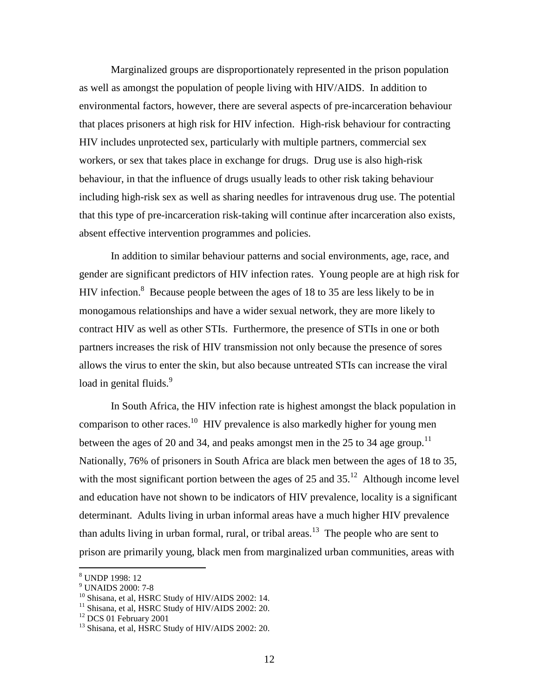Marginalized groups are disproportionately represented in the prison population as well as amongst the population of people living with HIV/AIDS. In addition to environmental factors, however, there are several aspects of pre-incarceration behaviour that places prisoners at high risk for HIV infection. High-risk behaviour for contracting HIV includes unprotected sex, particularly with multiple partners, commercial sex workers, or sex that takes place in exchange for drugs. Drug use is also high-risk behaviour, in that the influence of drugs usually leads to other risk taking behaviour including high-risk sex as well as sharing needles for intravenous drug use. The potential that this type of pre-incarceration risk-taking will continue after incarceration also exists, absent effective intervention programmes and policies.

In addition to similar behaviour patterns and social environments, age, race, and gender are significant predictors of HIV infection rates. Young people are at high risk for HIV infection.<sup>8</sup> Because people between the ages of 18 to 35 are less likely to be in monogamous relationships and have a wider sexual network, they are more likely to contract HIV as well as other STIs. Furthermore, the presence of STIs in one or both partners increases the risk of HIV transmission not only because the presence of sores allows the virus to enter the skin, but also because untreated STIs can increase the viral load in genital fluids.<sup>9</sup>

In South Africa, the HIV infection rate is highest amongst the black population in comparison to other races.<sup>10</sup> HIV prevalence is also markedly higher for young men between the ages of 20 and 34, and peaks amongst men in the 25 to 34 age group.<sup>11</sup> Nationally, 76% of prisoners in South Africa are black men between the ages of 18 to 35, with the most significant portion between the ages of 25 and  $35<sup>12</sup>$ . Although income level and education have not shown to be indicators of HIV prevalence, locality is a significant determinant. Adults living in urban informal areas have a much higher HIV prevalence than adults living in urban formal, rural, or tribal areas.<sup>13</sup> The people who are sent to prison are primarily young, black men from marginalized urban communities, areas with

-

<sup>8</sup> UNDP 1998: 12

<sup>9</sup> UNAIDS 2000: 7-8

<sup>&</sup>lt;sup>10</sup> Shisana, et al, HSRC Study of HIV/AIDS 2002: 14.

<sup>&</sup>lt;sup>11</sup> Shisana, et al, HSRC Study of HIV/AIDS 2002: 20.

<sup>&</sup>lt;sup>12</sup> DCS 01 February 2001

<sup>&</sup>lt;sup>13</sup> Shisana, et al, HSRC Study of HIV/AIDS 2002: 20.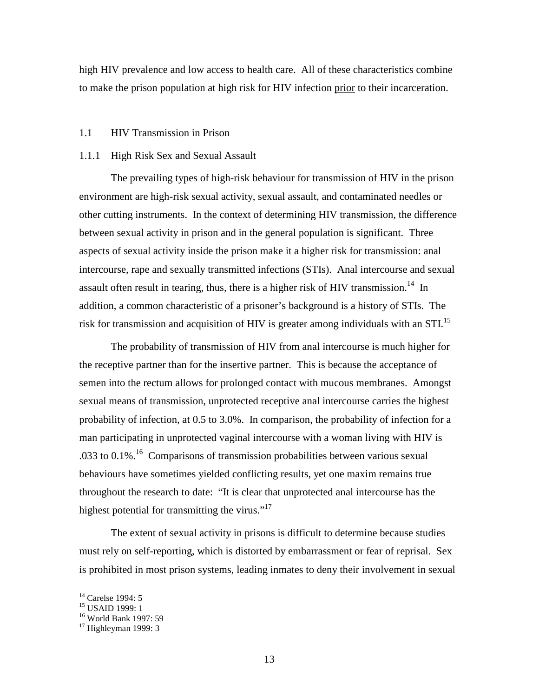high HIV prevalence and low access to health care. All of these characteristics combine to make the prison population at high risk for HIV infection prior to their incarceration.

## 1.1 HIV Transmission in Prison

## 1.1.1 High Risk Sex and Sexual Assault

The prevailing types of high-risk behaviour for transmission of HIV in the prison environment are high-risk sexual activity, sexual assault, and contaminated needles or other cutting instruments. In the context of determining HIV transmission, the difference between sexual activity in prison and in the general population is significant. Three aspects of sexual activity inside the prison make it a higher risk for transmission: anal intercourse, rape and sexually transmitted infections (STIs). Anal intercourse and sexual assault often result in tearing, thus, there is a higher risk of HIV transmission.<sup>14</sup> In addition, a common characteristic of a prisoner's background is a history of STIs. The risk for transmission and acquisition of HIV is greater among individuals with an STI.<sup>15</sup>

The probability of transmission of HIV from anal intercourse is much higher for the receptive partner than for the insertive partner. This is because the acceptance of semen into the rectum allows for prolonged contact with mucous membranes. Amongst sexual means of transmission, unprotected receptive anal intercourse carries the highest probability of infection, at 0.5 to 3.0%. In comparison, the probability of infection for a man participating in unprotected vaginal intercourse with a woman living with HIV is .033 to  $0.1\%$ .<sup>16</sup> Comparisons of transmission probabilities between various sexual behaviours have sometimes yielded conflicting results, yet one maxim remains true throughout the research to date: "It is clear that unprotected anal intercourse has the highest potential for transmitting the virus."<sup>17</sup>

The extent of sexual activity in prisons is difficult to determine because studies must rely on self-reporting, which is distorted by embarrassment or fear of reprisal. Sex is prohibited in most prison systems, leading inmates to deny their involvement in sexual

<sup>&</sup>lt;sup>14</sup> Carelse 1994: 5

<sup>15</sup> USAID 1999: 1

<sup>16</sup> World Bank 1997: 59

 $17$  Highleyman 1999: 3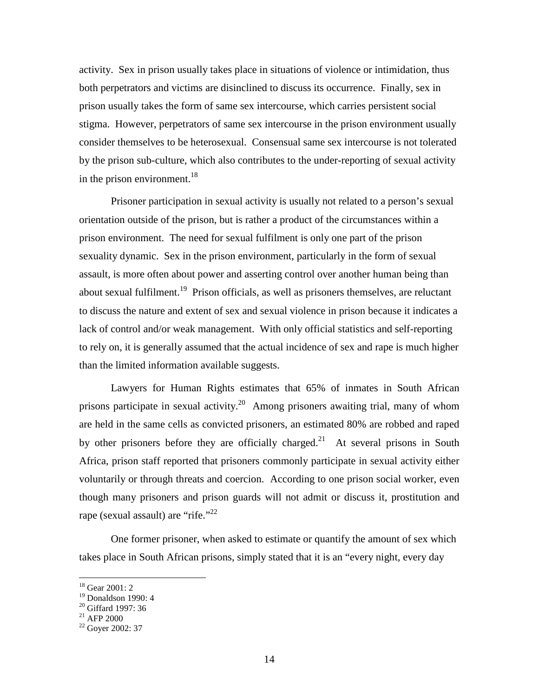activity. Sex in prison usually takes place in situations of violence or intimidation, thus both perpetrators and victims are disinclined to discuss its occurrence. Finally, sex in prison usually takes the form of same sex intercourse, which carries persistent social stigma. However, perpetrators of same sex intercourse in the prison environment usually consider themselves to be heterosexual. Consensual same sex intercourse is not tolerated by the prison sub-culture, which also contributes to the under-reporting of sexual activity in the prison environment.<sup>18</sup>

Prisoner participation in sexual activity is usually not related to a person's sexual orientation outside of the prison, but is rather a product of the circumstances within a prison environment. The need for sexual fulfilment is only one part of the prison sexuality dynamic. Sex in the prison environment, particularly in the form of sexual assault, is more often about power and asserting control over another human being than about sexual fulfilment.<sup>19</sup> Prison officials, as well as prisoners themselves, are reluctant to discuss the nature and extent of sex and sexual violence in prison because it indicates a lack of control and/or weak management. With only official statistics and self-reporting to rely on, it is generally assumed that the actual incidence of sex and rape is much higher than the limited information available suggests.

Lawyers for Human Rights estimates that 65% of inmates in South African prisons participate in sexual activity.<sup>20</sup> Among prisoners awaiting trial, many of whom are held in the same cells as convicted prisoners, an estimated 80% are robbed and raped by other prisoners before they are officially charged.<sup>21</sup> At several prisons in South Africa, prison staff reported that prisoners commonly participate in sexual activity either voluntarily or through threats and coercion. According to one prison social worker, even though many prisoners and prison guards will not admit or discuss it, prostitution and rape (sexual assault) are "rife."<sup>22</sup>

One former prisoner, when asked to estimate or quantify the amount of sex which takes place in South African prisons, simply stated that it is an "every night, every day

<sup>18</sup> Gear 2001: 2

<sup>19</sup> Donaldson 1990: 4

<sup>&</sup>lt;sup>20</sup> Giffard 1997: 36

 $^{21}$  AFP 2000

 $22$  Goyer 2002: 37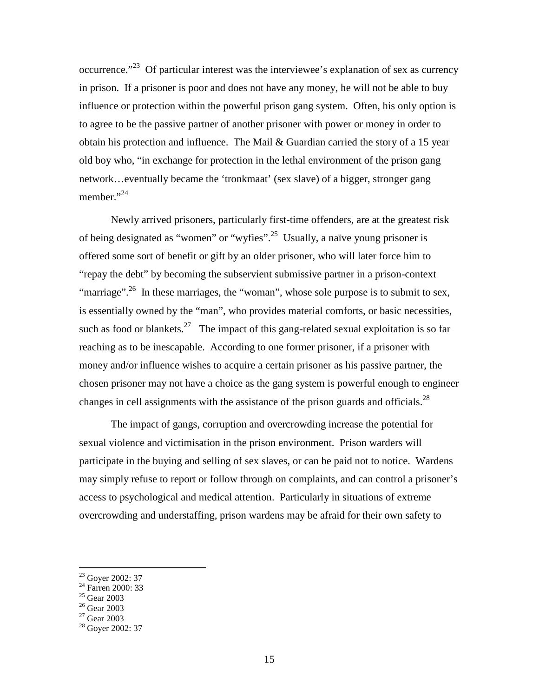occurrence."<sup>23</sup> Of particular interest was the interviewee's explanation of sex as currency in prison. If a prisoner is poor and does not have any money, he will not be able to buy influence or protection within the powerful prison gang system. Often, his only option is to agree to be the passive partner of another prisoner with power or money in order to obtain his protection and influence. The Mail & Guardian carried the story of a 15 year old boy who, "in exchange for protection in the lethal environment of the prison gang network…eventually became the 'tronkmaat' (sex slave) of a bigger, stronger gang member."<sup>24</sup>

Newly arrived prisoners, particularly first-time offenders, are at the greatest risk of being designated as "women" or "wyfies".<sup>25</sup> Usually, a naïve young prisoner is offered some sort of benefit or gift by an older prisoner, who will later force him to "repay the debt" by becoming the subservient submissive partner in a prison-context "marriage".<sup>26</sup> In these marriages, the "woman", whose sole purpose is to submit to sex, is essentially owned by the "man", who provides material comforts, or basic necessities, such as food or blankets.<sup>27</sup> The impact of this gang-related sexual exploitation is so far reaching as to be inescapable. According to one former prisoner, if a prisoner with money and/or influence wishes to acquire a certain prisoner as his passive partner, the chosen prisoner may not have a choice as the gang system is powerful enough to engineer changes in cell assignments with the assistance of the prison guards and officials.<sup>28</sup>

The impact of gangs, corruption and overcrowding increase the potential for sexual violence and victimisation in the prison environment. Prison warders will participate in the buying and selling of sex slaves, or can be paid not to notice. Wardens may simply refuse to report or follow through on complaints, and can control a prisoner's access to psychological and medical attention. Particularly in situations of extreme overcrowding and understaffing, prison wardens may be afraid for their own safety to

<sup>&</sup>lt;sup>23</sup> Goyer 2002: 37

 $24$  Farren 2000: 33

<sup>25</sup> Gear 2003

 $26$  Gear 2003

 $27$  Gear 2003

 $28$  Goyer 2002: 37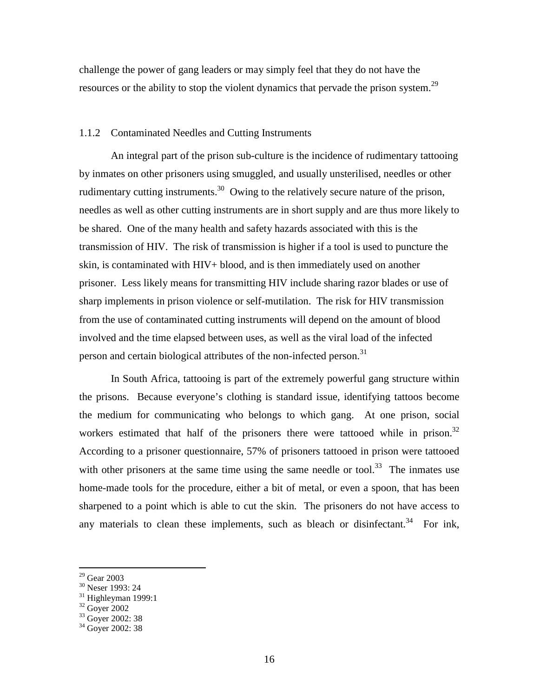challenge the power of gang leaders or may simply feel that they do not have the resources or the ability to stop the violent dynamics that pervade the prison system.<sup>29</sup>

## 1.1.2 Contaminated Needles and Cutting Instruments

An integral part of the prison sub-culture is the incidence of rudimentary tattooing by inmates on other prisoners using smuggled, and usually unsterilised, needles or other rudimentary cutting instruments.<sup>30</sup> Owing to the relatively secure nature of the prison, needles as well as other cutting instruments are in short supply and are thus more likely to be shared. One of the many health and safety hazards associated with this is the transmission of HIV. The risk of transmission is higher if a tool is used to puncture the skin, is contaminated with HIV+ blood, and is then immediately used on another prisoner. Less likely means for transmitting HIV include sharing razor blades or use of sharp implements in prison violence or self-mutilation. The risk for HIV transmission from the use of contaminated cutting instruments will depend on the amount of blood involved and the time elapsed between uses, as well as the viral load of the infected person and certain biological attributes of the non-infected person.<sup>31</sup>

In South Africa, tattooing is part of the extremely powerful gang structure within the prisons. Because everyone's clothing is standard issue, identifying tattoos become the medium for communicating who belongs to which gang. At one prison, social workers estimated that half of the prisoners there were tattooed while in prison. $32$ According to a prisoner questionnaire, 57% of prisoners tattooed in prison were tattooed with other prisoners at the same time using the same needle or tool.<sup>33</sup> The inmates use home-made tools for the procedure, either a bit of metal, or even a spoon, that has been sharpened to a point which is able to cut the skin. The prisoners do not have access to any materials to clean these implements, such as bleach or disinfectant.<sup>34</sup> For ink,

-

<sup>29</sup> Gear 2003

<sup>&</sup>lt;sup>30</sup> Neser 1993: 24

 $31$  Highleyman 1999:1

 $32$  Goyer 2002

<sup>&</sup>lt;sup>33</sup> Goyer 2002: 38

<sup>&</sup>lt;sup>34</sup> Goyer 2002: 38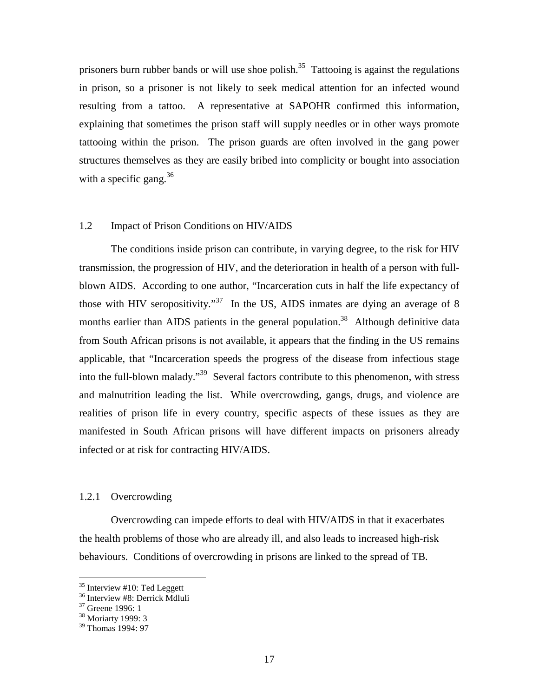prisoners burn rubber bands or will use shoe polish.<sup>35</sup> Tattooing is against the regulations in prison, so a prisoner is not likely to seek medical attention for an infected wound resulting from a tattoo. A representative at SAPOHR confirmed this information, explaining that sometimes the prison staff will supply needles or in other ways promote tattooing within the prison. The prison guards are often involved in the gang power structures themselves as they are easily bribed into complicity or bought into association with a specific gang.<sup>36</sup>

#### 1.2 Impact of Prison Conditions on HIV/AIDS

The conditions inside prison can contribute, in varying degree, to the risk for HIV transmission, the progression of HIV, and the deterioration in health of a person with fullblown AIDS. According to one author, "Incarceration cuts in half the life expectancy of those with HIV seropositivity."<sup>37</sup> In the US, AIDS inmates are dying an average of 8 months earlier than AIDS patients in the general population.<sup>38</sup> Although definitive data from South African prisons is not available, it appears that the finding in the US remains applicable, that "Incarceration speeds the progress of the disease from infectious stage into the full-blown malady."<sup>39</sup> Several factors contribute to this phenomenon, with stress and malnutrition leading the list. While overcrowding, gangs, drugs, and violence are realities of prison life in every country, specific aspects of these issues as they are manifested in South African prisons will have different impacts on prisoners already infected or at risk for contracting HIV/AIDS.

## 1.2.1 Overcrowding

Overcrowding can impede efforts to deal with HIV/AIDS in that it exacerbates the health problems of those who are already ill, and also leads to increased high-risk behaviours. Conditions of overcrowding in prisons are linked to the spread of TB.

 $35$  Interview #10: Ted Leggett

<sup>36</sup> Interview #8: Derrick Mdluli

<sup>&</sup>lt;sup>37</sup> Greene 1996: 1

<sup>38</sup> Moriarty 1999: 3

<sup>39</sup> Thomas 1994: 97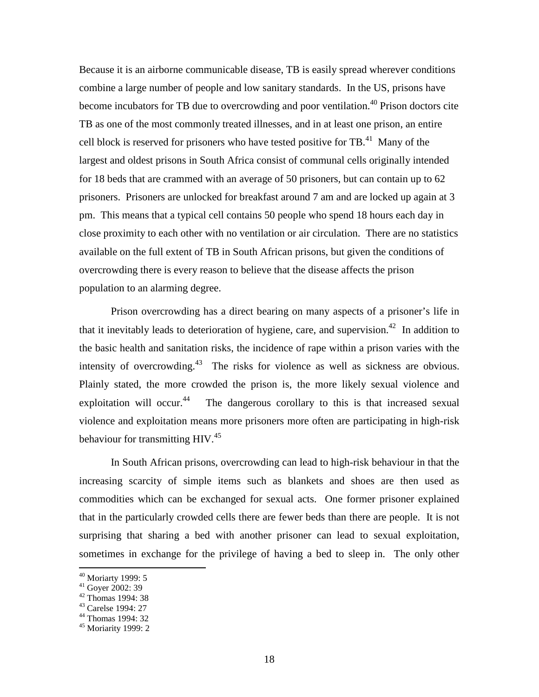Because it is an airborne communicable disease, TB is easily spread wherever conditions combine a large number of people and low sanitary standards. In the US, prisons have become incubators for TB due to overcrowding and poor ventilation.<sup>40</sup> Prison doctors cite TB as one of the most commonly treated illnesses, and in at least one prison, an entire cell block is reserved for prisoners who have tested positive for  $TB<sup>41</sup>$  Many of the largest and oldest prisons in South Africa consist of communal cells originally intended for 18 beds that are crammed with an average of 50 prisoners, but can contain up to 62 prisoners. Prisoners are unlocked for breakfast around 7 am and are locked up again at 3 pm. This means that a typical cell contains 50 people who spend 18 hours each day in close proximity to each other with no ventilation or air circulation. There are no statistics available on the full extent of TB in South African prisons, but given the conditions of overcrowding there is every reason to believe that the disease affects the prison population to an alarming degree.

Prison overcrowding has a direct bearing on many aspects of a prisoner's life in that it inevitably leads to deterioration of hygiene, care, and supervision.<sup>42</sup> In addition to the basic health and sanitation risks, the incidence of rape within a prison varies with the intensity of overcrowding.<sup>43</sup> The risks for violence as well as sickness are obvious. Plainly stated, the more crowded the prison is, the more likely sexual violence and exploitation will occur.<sup>44</sup> The dangerous corollary to this is that increased sexual violence and exploitation means more prisoners more often are participating in high-risk behaviour for transmitting HIV.<sup>45</sup>

In South African prisons, overcrowding can lead to high-risk behaviour in that the increasing scarcity of simple items such as blankets and shoes are then used as commodities which can be exchanged for sexual acts. One former prisoner explained that in the particularly crowded cells there are fewer beds than there are people. It is not surprising that sharing a bed with another prisoner can lead to sexual exploitation, sometimes in exchange for the privilege of having a bed to sleep in. The only other

<sup>&</sup>lt;sup>40</sup> Moriarty 1999: 5

 $41$  Gover 2002: 39

<sup>42</sup> Thomas 1994: 38

<sup>43</sup> Carelse 1994: 27

<sup>44</sup> Thomas 1994: 32

<sup>45</sup> Moriarity 1999: 2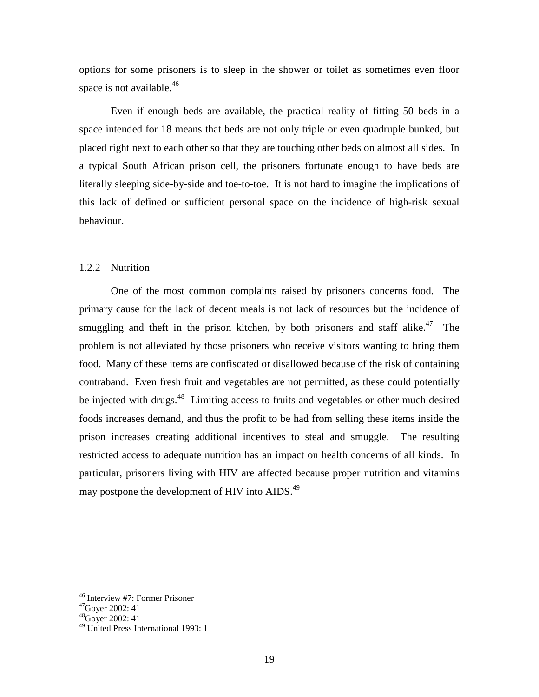options for some prisoners is to sleep in the shower or toilet as sometimes even floor space is not available.<sup>46</sup>

Even if enough beds are available, the practical reality of fitting 50 beds in a space intended for 18 means that beds are not only triple or even quadruple bunked, but placed right next to each other so that they are touching other beds on almost all sides. In a typical South African prison cell, the prisoners fortunate enough to have beds are literally sleeping side-by-side and toe-to-toe. It is not hard to imagine the implications of this lack of defined or sufficient personal space on the incidence of high-risk sexual behaviour.

## 1.2.2 Nutrition

One of the most common complaints raised by prisoners concerns food. The primary cause for the lack of decent meals is not lack of resources but the incidence of smuggling and theft in the prison kitchen, by both prisoners and staff alike.<sup>47</sup> The problem is not alleviated by those prisoners who receive visitors wanting to bring them food. Many of these items are confiscated or disallowed because of the risk of containing contraband. Even fresh fruit and vegetables are not permitted, as these could potentially be injected with drugs.<sup>48</sup> Limiting access to fruits and vegetables or other much desired foods increases demand, and thus the profit to be had from selling these items inside the prison increases creating additional incentives to steal and smuggle. The resulting restricted access to adequate nutrition has an impact on health concerns of all kinds. In particular, prisoners living with HIV are affected because proper nutrition and vitamins may postpone the development of HIV into AIDS.<sup>49</sup>

<sup>46</sup> Interview #7: Former Prisoner

<sup>47</sup>Goyer 2002: 41

 $48$ Gover 2002: 41

<sup>49</sup> United Press International 1993: 1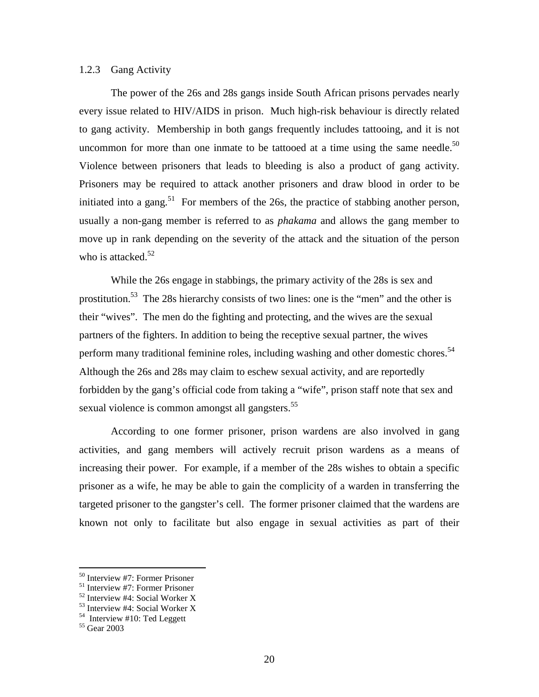## 1.2.3 Gang Activity

The power of the 26s and 28s gangs inside South African prisons pervades nearly every issue related to HIV/AIDS in prison. Much high-risk behaviour is directly related to gang activity. Membership in both gangs frequently includes tattooing, and it is not uncommon for more than one inmate to be tattooed at a time using the same needle.<sup>50</sup> Violence between prisoners that leads to bleeding is also a product of gang activity. Prisoners may be required to attack another prisoners and draw blood in order to be initiated into a gang.<sup>51</sup> For members of the 26s, the practice of stabbing another person, usually a non-gang member is referred to as *phakama* and allows the gang member to move up in rank depending on the severity of the attack and the situation of the person who is attacked. $52$ 

While the 26s engage in stabbings, the primary activity of the 28s is sex and prostitution.<sup>53</sup> The 28s hierarchy consists of two lines: one is the "men" and the other is their "wives". The men do the fighting and protecting, and the wives are the sexual partners of the fighters. In addition to being the receptive sexual partner, the wives perform many traditional feminine roles, including washing and other domestic chores.<sup>54</sup> Although the 26s and 28s may claim to eschew sexual activity, and are reportedly forbidden by the gang's official code from taking a "wife", prison staff note that sex and sexual violence is common amongst all gangsters.<sup>55</sup>

According to one former prisoner, prison wardens are also involved in gang activities, and gang members will actively recruit prison wardens as a means of increasing their power. For example, if a member of the 28s wishes to obtain a specific prisoner as a wife, he may be able to gain the complicity of a warden in transferring the targeted prisoner to the gangster's cell. The former prisoner claimed that the wardens are known not only to facilitate but also engage in sexual activities as part of their

-

<sup>50</sup> Interview #7: Former Prisoner

<sup>51</sup> Interview #7: Former Prisoner

<sup>52</sup> Interview #4: Social Worker X

<sup>53</sup> Interview #4: Social Worker X

 $54$  Interview #10: Ted Leggett

<sup>55</sup> Gear 2003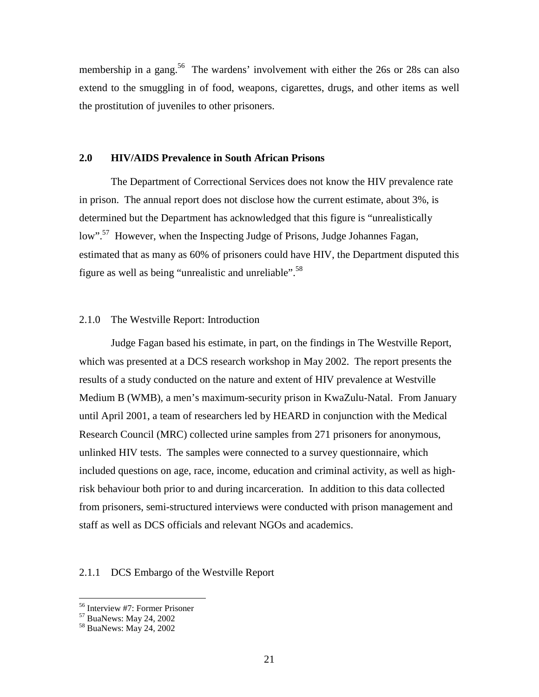membership in a gang.<sup>56</sup> The wardens' involvement with either the 26s or 28s can also extend to the smuggling in of food, weapons, cigarettes, drugs, and other items as well the prostitution of juveniles to other prisoners.

#### **2.0 HIV/AIDS Prevalence in South African Prisons**

The Department of Correctional Services does not know the HIV prevalence rate in prison. The annual report does not disclose how the current estimate, about 3%, is determined but the Department has acknowledged that this figure is "unrealistically low".<sup>57</sup> However, when the Inspecting Judge of Prisons, Judge Johannes Fagan, estimated that as many as 60% of prisoners could have HIV, the Department disputed this figure as well as being "unrealistic and unreliable".<sup>58</sup>

## 2.1.0 The Westville Report: Introduction

Judge Fagan based his estimate, in part, on the findings in The Westville Report, which was presented at a DCS research workshop in May 2002. The report presents the results of a study conducted on the nature and extent of HIV prevalence at Westville Medium B (WMB), a men's maximum-security prison in KwaZulu-Natal. From January until April 2001, a team of researchers led by HEARD in conjunction with the Medical Research Council (MRC) collected urine samples from 271 prisoners for anonymous, unlinked HIV tests. The samples were connected to a survey questionnaire, which included questions on age, race, income, education and criminal activity, as well as highrisk behaviour both prior to and during incarceration. In addition to this data collected from prisoners, semi-structured interviews were conducted with prison management and staff as well as DCS officials and relevant NGOs and academics.

## 2.1.1 DCS Embargo of the Westville Report

<sup>56</sup> Interview #7: Former Prisoner

<sup>57</sup> BuaNews: May 24, 2002

<sup>58</sup> BuaNews: May 24, 2002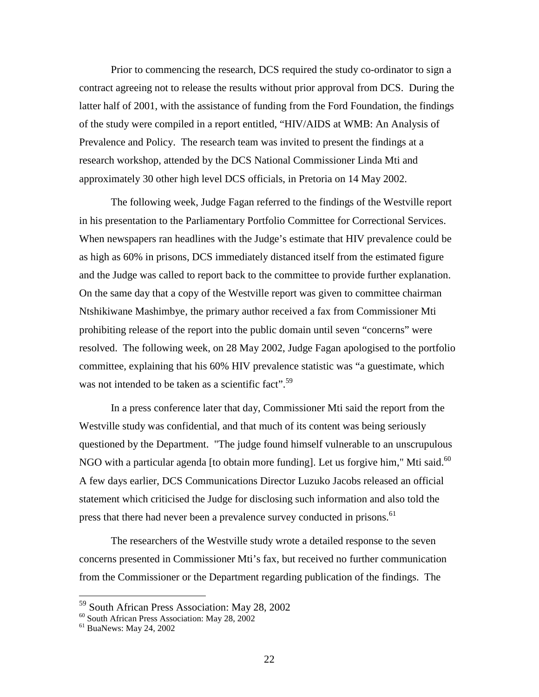Prior to commencing the research, DCS required the study co-ordinator to sign a contract agreeing not to release the results without prior approval from DCS. During the latter half of 2001, with the assistance of funding from the Ford Foundation, the findings of the study were compiled in a report entitled, "HIV/AIDS at WMB: An Analysis of Prevalence and Policy. The research team was invited to present the findings at a research workshop, attended by the DCS National Commissioner Linda Mti and approximately 30 other high level DCS officials, in Pretoria on 14 May 2002.

The following week, Judge Fagan referred to the findings of the Westville report in his presentation to the Parliamentary Portfolio Committee for Correctional Services. When newspapers ran headlines with the Judge's estimate that HIV prevalence could be as high as 60% in prisons, DCS immediately distanced itself from the estimated figure and the Judge was called to report back to the committee to provide further explanation. On the same day that a copy of the Westville report was given to committee chairman Ntshikiwane Mashimbye, the primary author received a fax from Commissioner Mti prohibiting release of the report into the public domain until seven "concerns" were resolved. The following week, on 28 May 2002, Judge Fagan apologised to the portfolio committee, explaining that his 60% HIV prevalence statistic was "a guestimate, which was not intended to be taken as a scientific fact".<sup>59</sup>

In a press conference later that day, Commissioner Mti said the report from the Westville study was confidential, and that much of its content was being seriously questioned by the Department. "The judge found himself vulnerable to an unscrupulous NGO with a particular agenda [to obtain more funding]. Let us forgive him," Mti said. $^{60}$ A few days earlier, DCS Communications Director Luzuko Jacobs released an official statement which criticised the Judge for disclosing such information and also told the press that there had never been a prevalence survey conducted in prisons.<sup>61</sup>

The researchers of the Westville study wrote a detailed response to the seven concerns presented in Commissioner Mti's fax, but received no further communication from the Commissioner or the Department regarding publication of the findings. The

<sup>&</sup>lt;sup>59</sup> South African Press Association: May 28, 2002

<sup>60</sup> South African Press Association: May 28, 2002

<sup>61</sup> BuaNews: May 24, 2002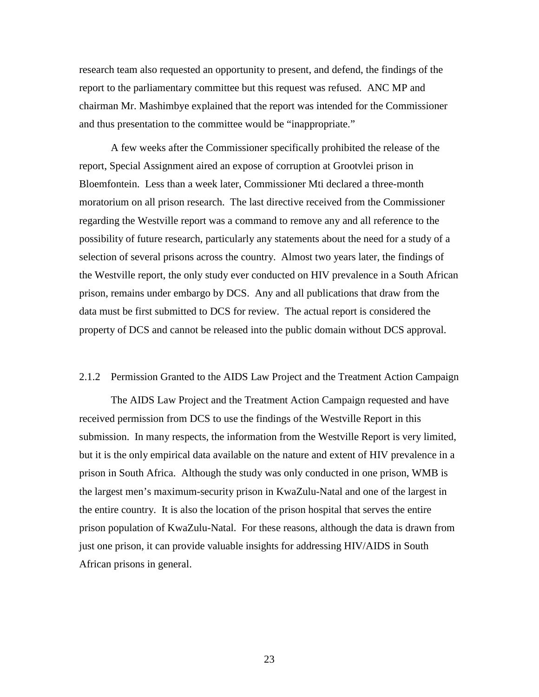research team also requested an opportunity to present, and defend, the findings of the report to the parliamentary committee but this request was refused. ANC MP and chairman Mr. Mashimbye explained that the report was intended for the Commissioner and thus presentation to the committee would be "inappropriate."

A few weeks after the Commissioner specifically prohibited the release of the report, Special Assignment aired an expose of corruption at Grootvlei prison in Bloemfontein. Less than a week later, Commissioner Mti declared a three-month moratorium on all prison research. The last directive received from the Commissioner regarding the Westville report was a command to remove any and all reference to the possibility of future research, particularly any statements about the need for a study of a selection of several prisons across the country. Almost two years later, the findings of the Westville report, the only study ever conducted on HIV prevalence in a South African prison, remains under embargo by DCS. Any and all publications that draw from the data must be first submitted to DCS for review. The actual report is considered the property of DCS and cannot be released into the public domain without DCS approval.

## 2.1.2 Permission Granted to the AIDS Law Project and the Treatment Action Campaign

The AIDS Law Project and the Treatment Action Campaign requested and have received permission from DCS to use the findings of the Westville Report in this submission. In many respects, the information from the Westville Report is very limited, but it is the only empirical data available on the nature and extent of HIV prevalence in a prison in South Africa. Although the study was only conducted in one prison, WMB is the largest men's maximum-security prison in KwaZulu-Natal and one of the largest in the entire country. It is also the location of the prison hospital that serves the entire prison population of KwaZulu-Natal. For these reasons, although the data is drawn from just one prison, it can provide valuable insights for addressing HIV/AIDS in South African prisons in general.

23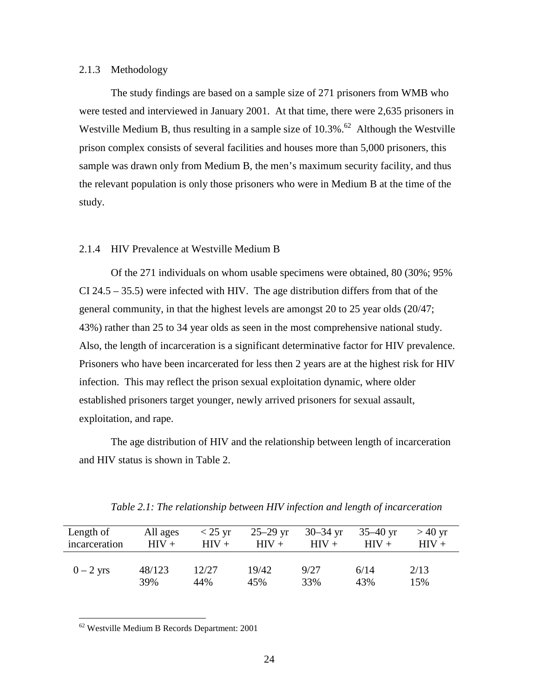## 2.1.3 Methodology

The study findings are based on a sample size of 271 prisoners from WMB who were tested and interviewed in January 2001. At that time, there were 2,635 prisoners in Westville Medium B, thus resulting in a sample size of  $10.3\%$ .<sup>62</sup> Although the Westville prison complex consists of several facilities and houses more than 5,000 prisoners, this sample was drawn only from Medium B, the men's maximum security facility, and thus the relevant population is only those prisoners who were in Medium B at the time of the study.

## 2.1.4 HIV Prevalence at Westville Medium B

Of the 271 individuals on whom usable specimens were obtained, 80 (30%; 95% CI 24.5 – 35.5) were infected with HIV. The age distribution differs from that of the general community, in that the highest levels are amongst 20 to 25 year olds (20/47; 43%) rather than 25 to 34 year olds as seen in the most comprehensive national study. Also, the length of incarceration is a significant determinative factor for HIV prevalence. Prisoners who have been incarcerated for less then 2 years are at the highest risk for HIV infection. This may reflect the prison sexual exploitation dynamic, where older established prisoners target younger, newly arrived prisoners for sexual assault, exploitation, and rape.

The age distribution of HIV and the relationship between length of incarceration and HIV status is shown in Table 2.

| Length of     | All ages | $<$ 25 yr | $25 - 29$ yr | $30 - 34$ yr | $35 - 40$ yr | $>40$ yr |
|---------------|----------|-----------|--------------|--------------|--------------|----------|
| incarceration | $HIV +$  | $HIV +$   | $HIV +$      | $HIV +$      | $HIV +$      | $HIV +$  |
| $0-2$ yrs     | 48/123   | 12/27     | 19/42        | 9/27         | 6/14         | 2/13     |
|               | 39%      | 44%       | 45%          | 33%          | 43%          | 15%      |

*Table 2.1: The relationship between HIV infection and length of incarceration*

<sup>62</sup> Westville Medium B Records Department: 2001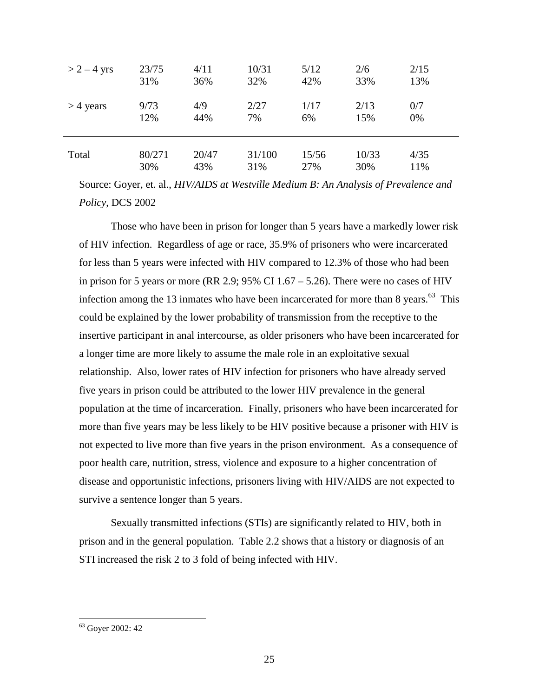| $> 2 - 4$ yrs | 23/75  | 4/11  | 10/31  | 5/12  | 2/6   | 2/15 |
|---------------|--------|-------|--------|-------|-------|------|
|               | 31%    | 36%   | 32%    | 42%   | 33%   | 13%  |
| $>$ 4 years   | 9/73   | 4/9   | 2/27   | 1/17  | 2/13  | 0/7  |
|               | 12%    | 44%   | 7%     | 6%    | 15%   | 0%   |
| Total         | 80/271 | 20/47 | 31/100 | 15/56 | 10/33 | 4/35 |
|               | 30%    | 43%   | 31%    | 27%   | 30%   | 11%  |

Source: Goyer, et. al., *HIV/AIDS at Westville Medium B: An Analysis of Prevalence and Policy*, DCS 2002

Those who have been in prison for longer than 5 years have a markedly lower risk of HIV infection. Regardless of age or race, 35.9% of prisoners who were incarcerated for less than 5 years were infected with HIV compared to 12.3% of those who had been in prison for 5 years or more (RR 2.9;  $95\%$  CI 1.67 – 5.26). There were no cases of HIV infection among the 13 inmates who have been incarcerated for more than 8 years. $63$  This could be explained by the lower probability of transmission from the receptive to the insertive participant in anal intercourse, as older prisoners who have been incarcerated for a longer time are more likely to assume the male role in an exploitative sexual relationship. Also, lower rates of HIV infection for prisoners who have already served five years in prison could be attributed to the lower HIV prevalence in the general population at the time of incarceration. Finally, prisoners who have been incarcerated for more than five years may be less likely to be HIV positive because a prisoner with HIV is not expected to live more than five years in the prison environment. As a consequence of poor health care, nutrition, stress, violence and exposure to a higher concentration of disease and opportunistic infections, prisoners living with HIV/AIDS are not expected to survive a sentence longer than 5 years.

Sexually transmitted infections (STIs) are significantly related to HIV, both in prison and in the general population. Table 2.2 shows that a history or diagnosis of an STI increased the risk 2 to 3 fold of being infected with HIV.

<sup>63</sup> Goyer 2002: 42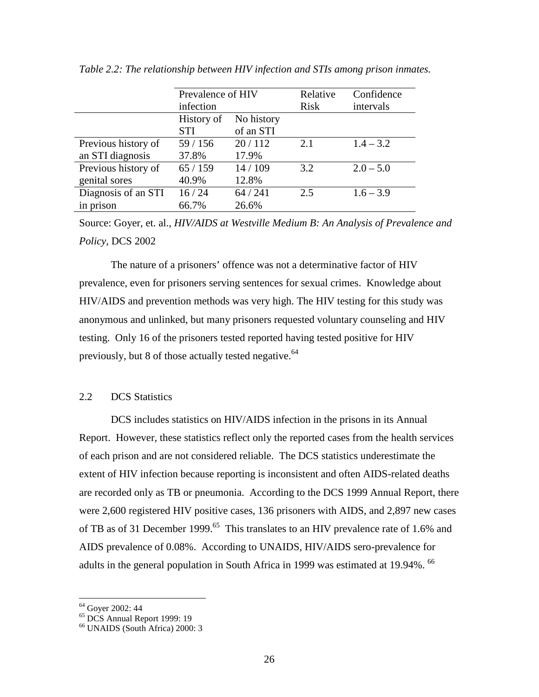|                     | Prevalence of HIV<br>infection |                         | Relative<br>Risk | Confidence<br>intervals |
|---------------------|--------------------------------|-------------------------|------------------|-------------------------|
|                     | History of<br><b>STI</b>       | No history<br>of an STI |                  |                         |
| Previous history of | 59/156                         | 20/112                  | 2.1              | $1.4 - 3.2$             |
| an STI diagnosis    | 37.8%                          | 17.9%                   |                  |                         |
| Previous history of | 65/159                         | 14/109                  | 3.2              | $2.0 - 5.0$             |
| genital sores       | 40.9%                          | 12.8%                   |                  |                         |
| Diagnosis of an STI | 16/24                          | 64/241                  | 2.5              | $1.6 - 3.9$             |
| in prison           | 66.7%                          | 26.6%                   |                  |                         |

*Table 2.2: The relationship between HIV infection and STIs among prison inmates.* 

Source: Goyer, et. al., *HIV/AIDS at Westville Medium B: An Analysis of Prevalence and Policy*, DCS 2002

The nature of a prisoners' offence was not a determinative factor of HIV prevalence, even for prisoners serving sentences for sexual crimes. Knowledge about HIV/AIDS and prevention methods was very high. The HIV testing for this study was anonymous and unlinked, but many prisoners requested voluntary counseling and HIV testing. Only 16 of the prisoners tested reported having tested positive for HIV previously, but 8 of those actually tested negative.<sup>64</sup>

## 2.2 DCS Statistics

DCS includes statistics on HIV/AIDS infection in the prisons in its Annual Report. However, these statistics reflect only the reported cases from the health services of each prison and are not considered reliable. The DCS statistics underestimate the extent of HIV infection because reporting is inconsistent and often AIDS-related deaths are recorded only as TB or pneumonia. According to the DCS 1999 Annual Report, there were 2,600 registered HIV positive cases, 136 prisoners with AIDS, and 2,897 new cases of TB as of 31 December 1999.<sup>65</sup> This translates to an HIV prevalence rate of 1.6% and AIDS prevalence of 0.08%. According to UNAIDS, HIV/AIDS sero-prevalence for adults in the general population in South Africa in 1999 was estimated at 19.94%. <sup>66</sup>

<sup>64</sup> Goyer 2002: 44

<sup>65</sup> DCS Annual Report 1999: 19

<sup>66</sup> UNAIDS (South Africa) 2000: 3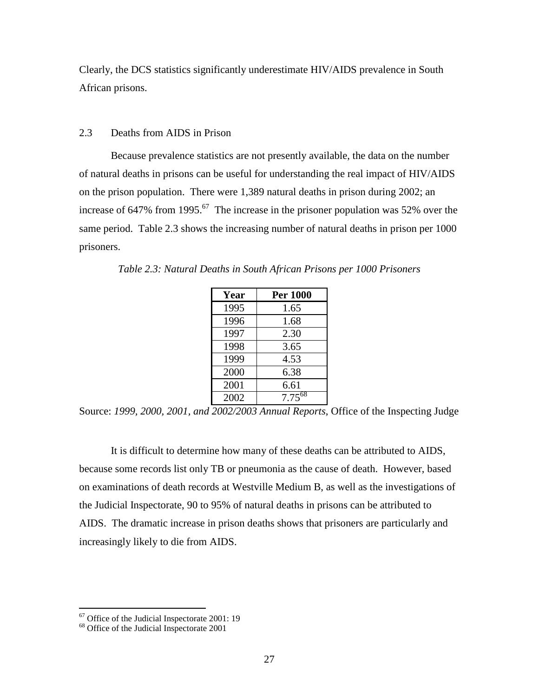Clearly, the DCS statistics significantly underestimate HIV/AIDS prevalence in South African prisons.

## 2.3 Deaths from AIDS in Prison

Because prevalence statistics are not presently available, the data on the number of natural deaths in prisons can be useful for understanding the real impact of HIV/AIDS on the prison population. There were 1,389 natural deaths in prison during 2002; an increase of 647% from 1995.<sup>67</sup> The increase in the prisoner population was 52% over the same period. Table 2.3 shows the increasing number of natural deaths in prison per 1000 prisoners.

| Year | <b>Per 1000</b> |
|------|-----------------|
| 1995 | 1.65            |
| 1996 | 1.68            |
| 1997 | 2.30            |
| 1998 | 3.65            |
| 1999 | 4.53            |
| 2000 | 6.38            |
| 2001 | 6.61            |
| 2002 | $7.75^{68}$     |

*Table 2.3: Natural Deaths in South African Prisons per 1000 Prisoners* 

Source: *1999, 2000, 2001, and 2002/2003 Annual Reports*, Office of the Inspecting Judge

It is difficult to determine how many of these deaths can be attributed to AIDS, because some records list only TB or pneumonia as the cause of death. However, based on examinations of death records at Westville Medium B, as well as the investigations of the Judicial Inspectorate, 90 to 95% of natural deaths in prisons can be attributed to AIDS. The dramatic increase in prison deaths shows that prisoners are particularly and increasingly likely to die from AIDS.

 $67$  Office of the Judicial Inspectorate 2001: 19

<sup>68</sup> Office of the Judicial Inspectorate 2001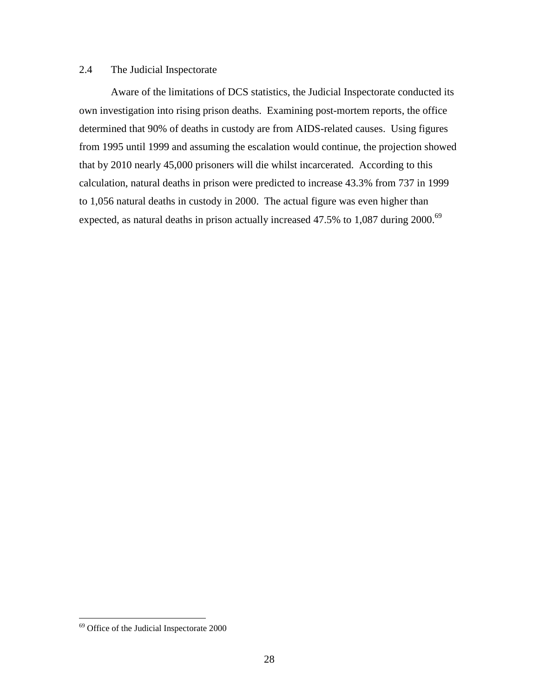## 2.4 The Judicial Inspectorate

Aware of the limitations of DCS statistics, the Judicial Inspectorate conducted its own investigation into rising prison deaths. Examining post-mortem reports, the office determined that 90% of deaths in custody are from AIDS-related causes. Using figures from 1995 until 1999 and assuming the escalation would continue, the projection showed that by 2010 nearly 45,000 prisoners will die whilst incarcerated. According to this calculation, natural deaths in prison were predicted to increase 43.3% from 737 in 1999 to 1,056 natural deaths in custody in 2000. The actual figure was even higher than expected, as natural deaths in prison actually increased 47.5% to 1,087 during 2000.<sup>69</sup>

<sup>69</sup> Office of the Judicial Inspectorate 2000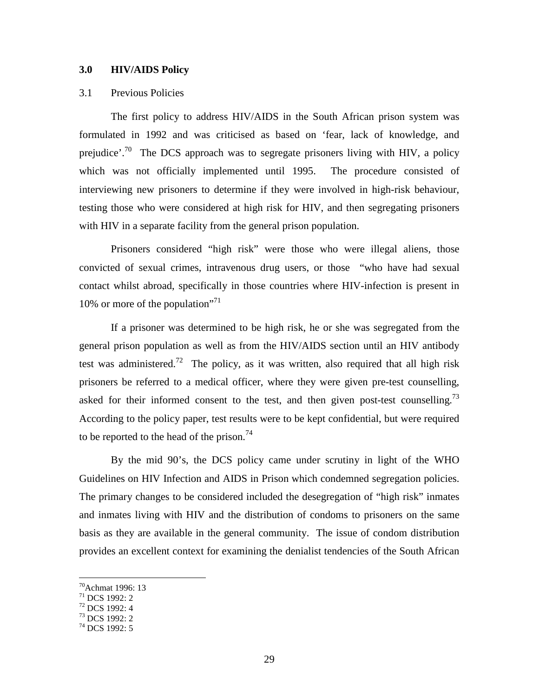## **3.0 HIV/AIDS Policy**

## 3.1 Previous Policies

The first policy to address HIV/AIDS in the South African prison system was formulated in 1992 and was criticised as based on 'fear, lack of knowledge, and prejudice'.<sup>70</sup> The DCS approach was to segregate prisoners living with HIV, a policy which was not officially implemented until 1995. The procedure consisted of interviewing new prisoners to determine if they were involved in high-risk behaviour, testing those who were considered at high risk for HIV, and then segregating prisoners with HIV in a separate facility from the general prison population.

Prisoners considered "high risk" were those who were illegal aliens, those convicted of sexual crimes, intravenous drug users, or those "who have had sexual contact whilst abroad, specifically in those countries where HIV-infection is present in 10% or more of the population"<sup>71</sup>

If a prisoner was determined to be high risk, he or she was segregated from the general prison population as well as from the HIV/AIDS section until an HIV antibody test was administered.<sup>72</sup> The policy, as it was written, also required that all high risk prisoners be referred to a medical officer, where they were given pre-test counselling, asked for their informed consent to the test, and then given post-test counselling.<sup>73</sup> According to the policy paper, test results were to be kept confidential, but were required to be reported to the head of the prison.<sup>74</sup>

By the mid 90's, the DCS policy came under scrutiny in light of the WHO Guidelines on HIV Infection and AIDS in Prison which condemned segregation policies. The primary changes to be considered included the desegregation of "high risk" inmates and inmates living with HIV and the distribution of condoms to prisoners on the same basis as they are available in the general community. The issue of condom distribution provides an excellent context for examining the denialist tendencies of the South African

<sup>70</sup>Achmat 1996: 13

<sup>71</sup> DCS 1992: 2

<sup>72</sup> DCS 1992: 4

 $^{73}$  DCS 1992: 2

<sup>&</sup>lt;sup>74</sup> DCS 1992: 5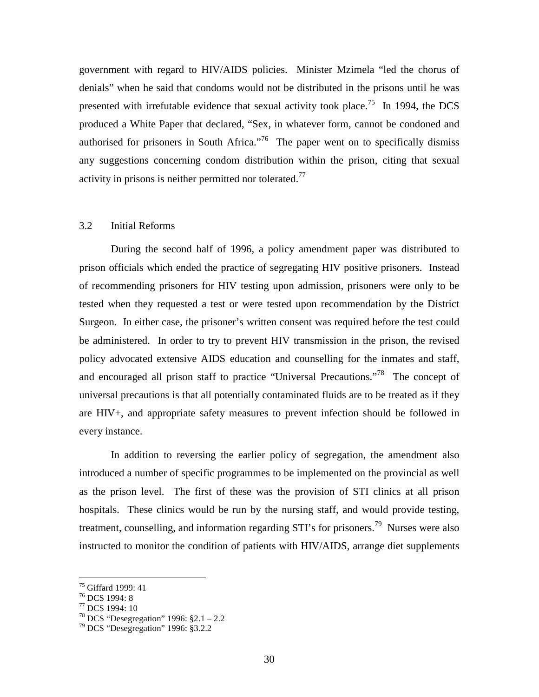government with regard to HIV/AIDS policies. Minister Mzimela "led the chorus of denials" when he said that condoms would not be distributed in the prisons until he was presented with irrefutable evidence that sexual activity took place.<sup>75</sup> In 1994, the DCS produced a White Paper that declared, "Sex, in whatever form, cannot be condoned and authorised for prisoners in South Africa."<sup>76</sup> The paper went on to specifically dismiss any suggestions concerning condom distribution within the prison, citing that sexual activity in prisons is neither permitted nor tolerated.<sup>77</sup>

## 3.2 Initial Reforms

 During the second half of 1996, a policy amendment paper was distributed to prison officials which ended the practice of segregating HIV positive prisoners. Instead of recommending prisoners for HIV testing upon admission, prisoners were only to be tested when they requested a test or were tested upon recommendation by the District Surgeon. In either case, the prisoner's written consent was required before the test could be administered. In order to try to prevent HIV transmission in the prison, the revised policy advocated extensive AIDS education and counselling for the inmates and staff, and encouraged all prison staff to practice "Universal Precautions."<sup>78</sup> The concept of universal precautions is that all potentially contaminated fluids are to be treated as if they are HIV+, and appropriate safety measures to prevent infection should be followed in every instance.

 In addition to reversing the earlier policy of segregation, the amendment also introduced a number of specific programmes to be implemented on the provincial as well as the prison level. The first of these was the provision of STI clinics at all prison hospitals. These clinics would be run by the nursing staff, and would provide testing, treatment, counselling, and information regarding STI's for prisoners.<sup>79</sup> Nurses were also instructed to monitor the condition of patients with HIV/AIDS, arrange diet supplements

<sup>75</sup> Giffard 1999: 41

<sup>76</sup> DCS 1994: 8

<sup>77</sup> DCS 1994: 10

<sup>&</sup>lt;sup>78</sup> DCS "Desegregation" 1996:  $§2.1 - 2.2$ 

<sup>79</sup> DCS "Desegregation" 1996: §3.2.2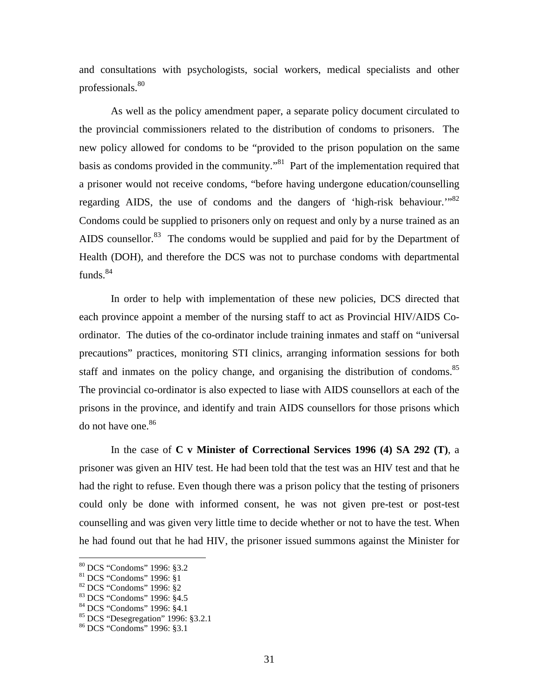and consultations with psychologists, social workers, medical specialists and other professionals.<sup>80</sup>

 As well as the policy amendment paper, a separate policy document circulated to the provincial commissioners related to the distribution of condoms to prisoners. The new policy allowed for condoms to be "provided to the prison population on the same basis as condoms provided in the community."<sup>81</sup> Part of the implementation required that a prisoner would not receive condoms, "before having undergone education/counselling regarding AIDS, the use of condoms and the dangers of 'high-risk behaviour."<sup>82</sup> Condoms could be supplied to prisoners only on request and only by a nurse trained as an AIDS counsellor.<sup>83</sup> The condoms would be supplied and paid for by the Department of Health (DOH), and therefore the DCS was not to purchase condoms with departmental funds.<sup>84</sup>

In order to help with implementation of these new policies, DCS directed that each province appoint a member of the nursing staff to act as Provincial HIV/AIDS Coordinator. The duties of the co-ordinator include training inmates and staff on "universal precautions" practices, monitoring STI clinics, arranging information sessions for both staff and inmates on the policy change, and organising the distribution of condoms.<sup>85</sup> The provincial co-ordinator is also expected to liase with AIDS counsellors at each of the prisons in the province, and identify and train AIDS counsellors for those prisons which do not have one.<sup>86</sup>

In the case of **C v Minister of Correctional Services 1996 (4) SA 292 (T)**, a prisoner was given an HIV test. He had been told that the test was an HIV test and that he had the right to refuse. Even though there was a prison policy that the testing of prisoners could only be done with informed consent, he was not given pre-test or post-test counselling and was given very little time to decide whether or not to have the test. When he had found out that he had HIV, the prisoner issued summons against the Minister for

<sup>80</sup> DCS "Condoms" 1996: §3.2

<sup>81</sup> DCS "Condoms" 1996: §1

<sup>82</sup> DCS "Condoms" 1996: §2

<sup>83</sup> DCS "Condoms" 1996: §4.5

<sup>84</sup> DCS "Condoms" 1996: §4.1

 $85$  DCS "Desegregation" 1996: §3.2.1

<sup>86</sup> DCS "Condoms" 1996: §3.1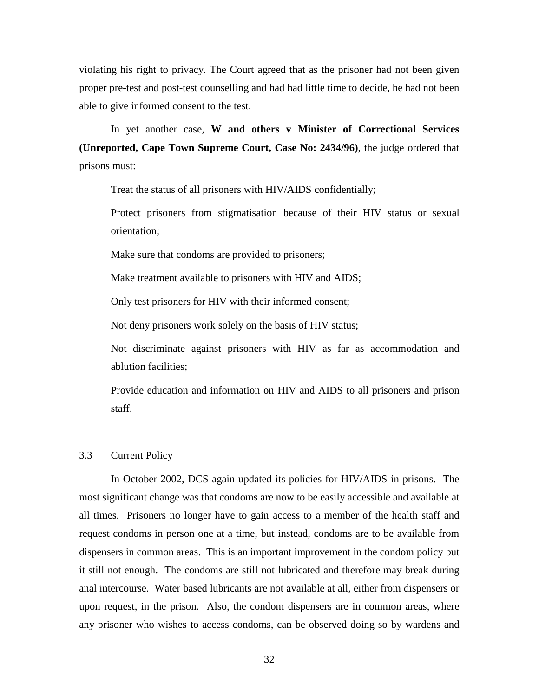violating his right to privacy. The Court agreed that as the prisoner had not been given proper pre-test and post-test counselling and had had little time to decide, he had not been able to give informed consent to the test.

In yet another case, **W and others v Minister of Correctional Services (Unreported, Cape Town Supreme Court, Case No: 2434/96)**, the judge ordered that prisons must:

Treat the status of all prisoners with HIV/AIDS confidentially;

Protect prisoners from stigmatisation because of their HIV status or sexual orientation;

Make sure that condoms are provided to prisoners;

Make treatment available to prisoners with HIV and AIDS;

Only test prisoners for HIV with their informed consent;

Not deny prisoners work solely on the basis of HIV status;

Not discriminate against prisoners with HIV as far as accommodation and ablution facilities;

Provide education and information on HIV and AIDS to all prisoners and prison staff.

## 3.3 Current Policy

In October 2002, DCS again updated its policies for HIV/AIDS in prisons. The most significant change was that condoms are now to be easily accessible and available at all times. Prisoners no longer have to gain access to a member of the health staff and request condoms in person one at a time, but instead, condoms are to be available from dispensers in common areas. This is an important improvement in the condom policy but it still not enough. The condoms are still not lubricated and therefore may break during anal intercourse. Water based lubricants are not available at all, either from dispensers or upon request, in the prison. Also, the condom dispensers are in common areas, where any prisoner who wishes to access condoms, can be observed doing so by wardens and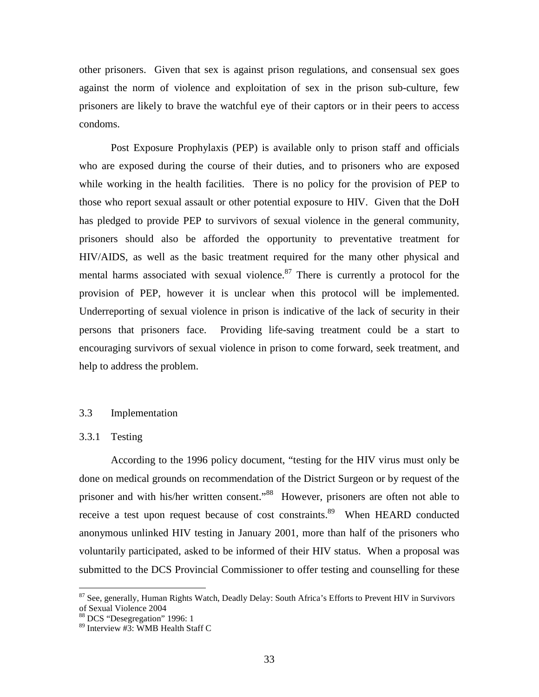other prisoners. Given that sex is against prison regulations, and consensual sex goes against the norm of violence and exploitation of sex in the prison sub-culture, few prisoners are likely to brave the watchful eye of their captors or in their peers to access condoms.

Post Exposure Prophylaxis (PEP) is available only to prison staff and officials who are exposed during the course of their duties, and to prisoners who are exposed while working in the health facilities. There is no policy for the provision of PEP to those who report sexual assault or other potential exposure to HIV. Given that the DoH has pledged to provide PEP to survivors of sexual violence in the general community, prisoners should also be afforded the opportunity to preventative treatment for HIV/AIDS, as well as the basic treatment required for the many other physical and mental harms associated with sexual violence. $87$  There is currently a protocol for the provision of PEP, however it is unclear when this protocol will be implemented. Underreporting of sexual violence in prison is indicative of the lack of security in their persons that prisoners face. Providing life-saving treatment could be a start to encouraging survivors of sexual violence in prison to come forward, seek treatment, and help to address the problem.

## 3.3 Implementation

## 3.3.1 Testing

<u>.</u>

 According to the 1996 policy document, "testing for the HIV virus must only be done on medical grounds on recommendation of the District Surgeon or by request of the prisoner and with his/her written consent."<sup>88</sup> However, prisoners are often not able to receive a test upon request because of cost constraints.<sup>89</sup> When HEARD conducted anonymous unlinked HIV testing in January 2001, more than half of the prisoners who voluntarily participated, asked to be informed of their HIV status. When a proposal was submitted to the DCS Provincial Commissioner to offer testing and counselling for these

<sup>&</sup>lt;sup>87</sup> See, generally, Human Rights Watch, Deadly Delay: South Africa's Efforts to Prevent HIV in Survivors of Sexual Violence 2004

<sup>88</sup> DCS "Desegregation" 1996: 1

<sup>89</sup> Interview #3: WMB Health Staff C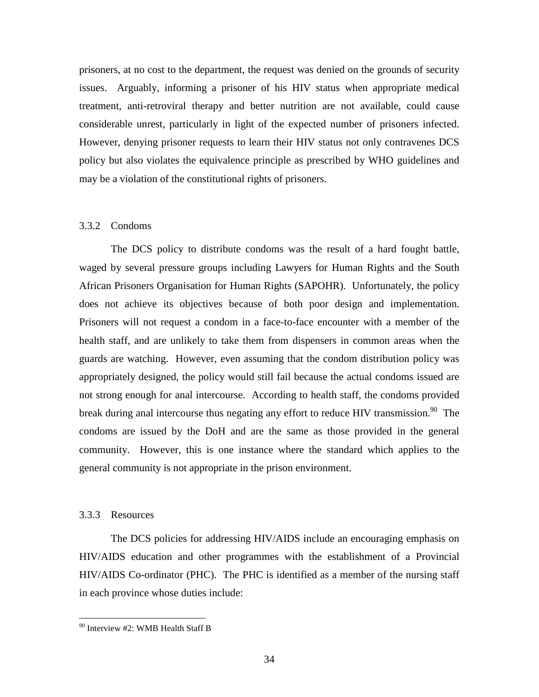prisoners, at no cost to the department*,* the request was denied on the grounds of security issues. Arguably, informing a prisoner of his HIV status when appropriate medical treatment, anti-retroviral therapy and better nutrition are not available, could cause considerable unrest, particularly in light of the expected number of prisoners infected. However, denying prisoner requests to learn their HIV status not only contravenes DCS policy but also violates the equivalence principle as prescribed by WHO guidelines and may be a violation of the constitutional rights of prisoners.

## 3.3.2 Condoms

The DCS policy to distribute condoms was the result of a hard fought battle, waged by several pressure groups including Lawyers for Human Rights and the South African Prisoners Organisation for Human Rights (SAPOHR). Unfortunately, the policy does not achieve its objectives because of both poor design and implementation. Prisoners will not request a condom in a face-to-face encounter with a member of the health staff, and are unlikely to take them from dispensers in common areas when the guards are watching. However, even assuming that the condom distribution policy was appropriately designed, the policy would still fail because the actual condoms issued are not strong enough for anal intercourse. According to health staff, the condoms provided break during anal intercourse thus negating any effort to reduce HIV transmission.<sup>90</sup> The condoms are issued by the DoH and are the same as those provided in the general community. However, this is one instance where the standard which applies to the general community is not appropriate in the prison environment.

## 3.3.3 Resources

<u>.</u>

The DCS policies for addressing HIV/AIDS include an encouraging emphasis on HIV/AIDS education and other programmes with the establishment of a Provincial HIV/AIDS Co-ordinator (PHC). The PHC is identified as a member of the nursing staff in each province whose duties include:

<sup>90</sup> Interview #2: WMB Health Staff B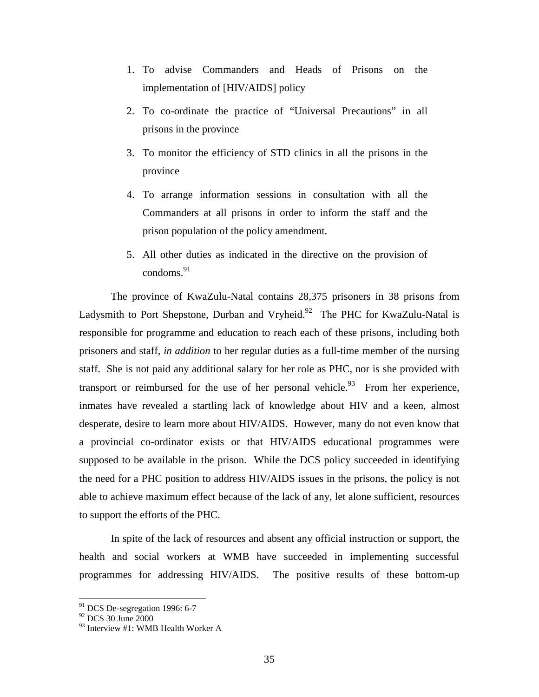- 1. To advise Commanders and Heads of Prisons on the implementation of [HIV/AIDS] policy
- 2. To co-ordinate the practice of "Universal Precautions" in all prisons in the province
- 3. To monitor the efficiency of STD clinics in all the prisons in the province
- 4. To arrange information sessions in consultation with all the Commanders at all prisons in order to inform the staff and the prison population of the policy amendment.
- 5. All other duties as indicated in the directive on the provision of condoms.<sup>91</sup>

The province of KwaZulu-Natal contains 28,375 prisoners in 38 prisons from Ladysmith to Port Shepstone, Durban and Vryheid.<sup>92</sup> The PHC for KwaZulu-Natal is responsible for programme and education to reach each of these prisons, including both prisoners and staff, *in addition* to her regular duties as a full-time member of the nursing staff. She is not paid any additional salary for her role as PHC, nor is she provided with transport or reimbursed for the use of her personal vehicle.<sup>93</sup> From her experience, inmates have revealed a startling lack of knowledge about HIV and a keen, almost desperate, desire to learn more about HIV/AIDS. However, many do not even know that a provincial co-ordinator exists or that HIV/AIDS educational programmes were supposed to be available in the prison. While the DCS policy succeeded in identifying the need for a PHC position to address HIV/AIDS issues in the prisons, the policy is not able to achieve maximum effect because of the lack of any, let alone sufficient, resources to support the efforts of the PHC.

In spite of the lack of resources and absent any official instruction or support, the health and social workers at WMB have succeeded in implementing successful programmes for addressing HIV/AIDS. The positive results of these bottom-up

 $91$  DCS De-segregation 1996: 6-7

<sup>&</sup>lt;sup>92</sup> DCS 30 June 2000

<sup>93</sup> Interview #1: WMB Health Worker A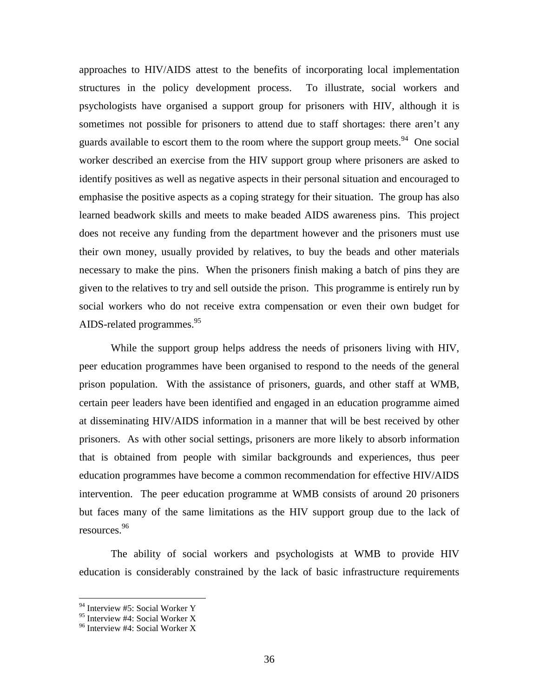approaches to HIV/AIDS attest to the benefits of incorporating local implementation structures in the policy development process. To illustrate, social workers and psychologists have organised a support group for prisoners with HIV, although it is sometimes not possible for prisoners to attend due to staff shortages: there aren't any guards available to escort them to the room where the support group meets.<sup>94</sup> One social worker described an exercise from the HIV support group where prisoners are asked to identify positives as well as negative aspects in their personal situation and encouraged to emphasise the positive aspects as a coping strategy for their situation. The group has also learned beadwork skills and meets to make beaded AIDS awareness pins. This project does not receive any funding from the department however and the prisoners must use their own money, usually provided by relatives, to buy the beads and other materials necessary to make the pins. When the prisoners finish making a batch of pins they are given to the relatives to try and sell outside the prison. This programme is entirely run by social workers who do not receive extra compensation or even their own budget for AIDS-related programmes.<sup>95</sup>

 While the support group helps address the needs of prisoners living with HIV, peer education programmes have been organised to respond to the needs of the general prison population. With the assistance of prisoners, guards, and other staff at WMB, certain peer leaders have been identified and engaged in an education programme aimed at disseminating HIV/AIDS information in a manner that will be best received by other prisoners. As with other social settings, prisoners are more likely to absorb information that is obtained from people with similar backgrounds and experiences, thus peer education programmes have become a common recommendation for effective HIV/AIDS intervention. The peer education programme at WMB consists of around 20 prisoners but faces many of the same limitations as the HIV support group due to the lack of resources.<sup>96</sup>

The ability of social workers and psychologists at WMB to provide HIV education is considerably constrained by the lack of basic infrastructure requirements

<sup>&</sup>lt;sup>94</sup> Interview #5: Social Worker Y

 $95$  Interview #4: Social Worker X

<sup>&</sup>lt;sup>96</sup> Interview #4: Social Worker X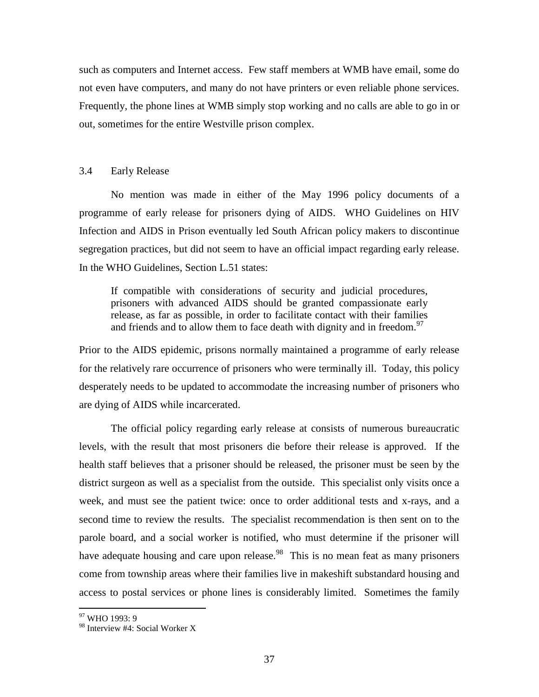such as computers and Internet access. Few staff members at WMB have email, some do not even have computers, and many do not have printers or even reliable phone services. Frequently, the phone lines at WMB simply stop working and no calls are able to go in or out, sometimes for the entire Westville prison complex.

## 3.4 Early Release

No mention was made in either of the May 1996 policy documents of a programme of early release for prisoners dying of AIDS. WHO Guidelines on HIV Infection and AIDS in Prison eventually led South African policy makers to discontinue segregation practices, but did not seem to have an official impact regarding early release. In the WHO Guidelines, Section L.51 states:

If compatible with considerations of security and judicial procedures, prisoners with advanced AIDS should be granted compassionate early release, as far as possible, in order to facilitate contact with their families and friends and to allow them to face death with dignity and in freedom.<sup>97</sup>

Prior to the AIDS epidemic, prisons normally maintained a programme of early release for the relatively rare occurrence of prisoners who were terminally ill. Today, this policy desperately needs to be updated to accommodate the increasing number of prisoners who are dying of AIDS while incarcerated.

The official policy regarding early release at consists of numerous bureaucratic levels, with the result that most prisoners die before their release is approved. If the health staff believes that a prisoner should be released, the prisoner must be seen by the district surgeon as well as a specialist from the outside. This specialist only visits once a week, and must see the patient twice: once to order additional tests and x-rays, and a second time to review the results. The specialist recommendation is then sent on to the parole board, and a social worker is notified, who must determine if the prisoner will have adequate housing and care upon release.<sup>98</sup> This is no mean feat as many prisoners come from township areas where their families live in makeshift substandard housing and access to postal services or phone lines is considerably limited. Sometimes the family

<sup>&</sup>lt;sup>97</sup> WHO 1993: 9

<sup>98</sup> Interview #4: Social Worker X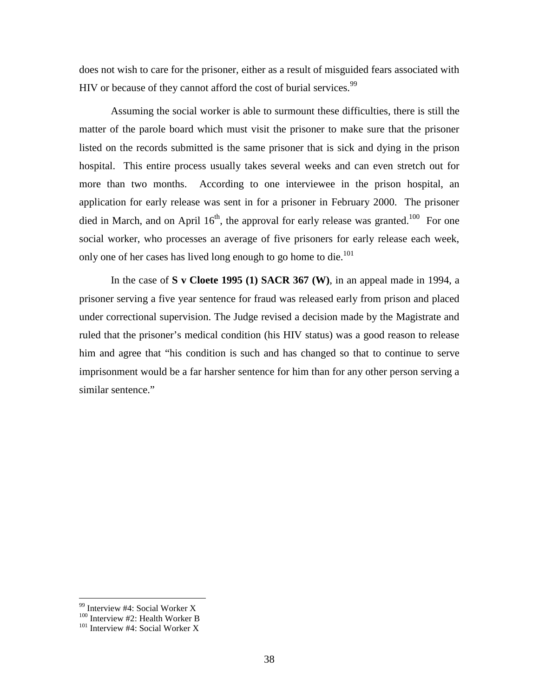does not wish to care for the prisoner, either as a result of misguided fears associated with HIV or because of they cannot afford the cost of burial services.<sup>99</sup>

Assuming the social worker is able to surmount these difficulties, there is still the matter of the parole board which must visit the prisoner to make sure that the prisoner listed on the records submitted is the same prisoner that is sick and dying in the prison hospital. This entire process usually takes several weeks and can even stretch out for more than two months. According to one interviewee in the prison hospital, an application for early release was sent in for a prisoner in February 2000. The prisoner died in March, and on April  $16<sup>th</sup>$ , the approval for early release was granted.<sup>100</sup> For one social worker, who processes an average of five prisoners for early release each week, only one of her cases has lived long enough to go home to die.<sup>101</sup>

In the case of **S v Cloete 1995 (1) SACR 367 (W)**, in an appeal made in 1994, a prisoner serving a five year sentence for fraud was released early from prison and placed under correctional supervision. The Judge revised a decision made by the Magistrate and ruled that the prisoner's medical condition (his HIV status) was a good reason to release him and agree that "his condition is such and has changed so that to continue to serve imprisonment would be a far harsher sentence for him than for any other person serving a similar sentence."

<sup>&</sup>lt;sup>99</sup> Interview #4: Social Worker X

 $100$  Interview #2: Health Worker B

<sup>&</sup>lt;sup>101</sup> Interview #4: Social Worker X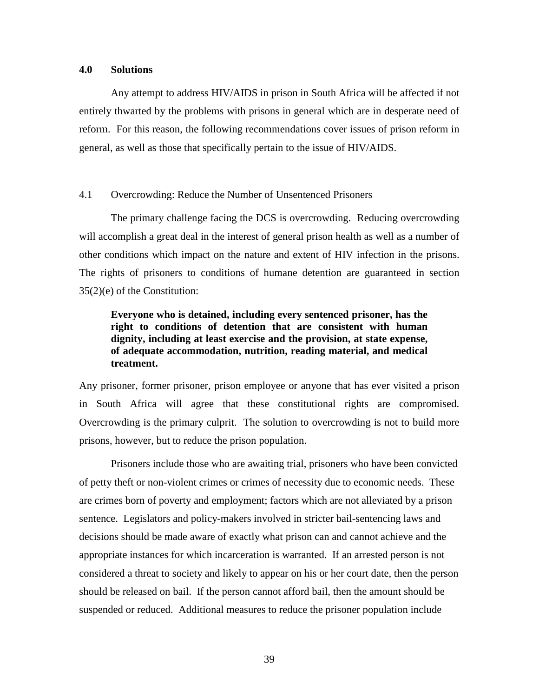## **4.0 Solutions**

Any attempt to address HIV/AIDS in prison in South Africa will be affected if not entirely thwarted by the problems with prisons in general which are in desperate need of reform. For this reason, the following recommendations cover issues of prison reform in general, as well as those that specifically pertain to the issue of HIV/AIDS.

## 4.1 Overcrowding: Reduce the Number of Unsentenced Prisoners

The primary challenge facing the DCS is overcrowding. Reducing overcrowding will accomplish a great deal in the interest of general prison health as well as a number of other conditions which impact on the nature and extent of HIV infection in the prisons. The rights of prisoners to conditions of humane detention are guaranteed in section 35(2)(e) of the Constitution:

## **Everyone who is detained, including every sentenced prisoner, has the right to conditions of detention that are consistent with human dignity, including at least exercise and the provision, at state expense, of adequate accommodation, nutrition, reading material, and medical treatment.**

Any prisoner, former prisoner, prison employee or anyone that has ever visited a prison in South Africa will agree that these constitutional rights are compromised. Overcrowding is the primary culprit. The solution to overcrowding is not to build more prisons, however, but to reduce the prison population.

 Prisoners include those who are awaiting trial, prisoners who have been convicted of petty theft or non-violent crimes or crimes of necessity due to economic needs. These are crimes born of poverty and employment; factors which are not alleviated by a prison sentence. Legislators and policy-makers involved in stricter bail-sentencing laws and decisions should be made aware of exactly what prison can and cannot achieve and the appropriate instances for which incarceration is warranted. If an arrested person is not considered a threat to society and likely to appear on his or her court date, then the person should be released on bail. If the person cannot afford bail, then the amount should be suspended or reduced. Additional measures to reduce the prisoner population include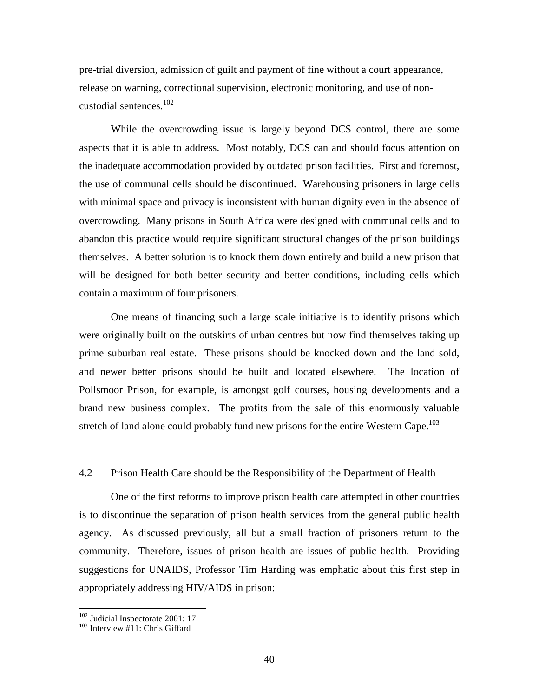pre-trial diversion, admission of guilt and payment of fine without a court appearance, release on warning, correctional supervision, electronic monitoring, and use of noncustodial sentences.<sup>102</sup>

While the overcrowding issue is largely beyond DCS control, there are some aspects that it is able to address. Most notably, DCS can and should focus attention on the inadequate accommodation provided by outdated prison facilities. First and foremost, the use of communal cells should be discontinued. Warehousing prisoners in large cells with minimal space and privacy is inconsistent with human dignity even in the absence of overcrowding. Many prisons in South Africa were designed with communal cells and to abandon this practice would require significant structural changes of the prison buildings themselves. A better solution is to knock them down entirely and build a new prison that will be designed for both better security and better conditions, including cells which contain a maximum of four prisoners.

One means of financing such a large scale initiative is to identify prisons which were originally built on the outskirts of urban centres but now find themselves taking up prime suburban real estate. These prisons should be knocked down and the land sold, and newer better prisons should be built and located elsewhere. The location of Pollsmoor Prison, for example, is amongst golf courses, housing developments and a brand new business complex. The profits from the sale of this enormously valuable stretch of land alone could probably fund new prisons for the entire Western Cape.<sup>103</sup>

## 4.2 Prison Health Care should be the Responsibility of the Department of Health

One of the first reforms to improve prison health care attempted in other countries is to discontinue the separation of prison health services from the general public health agency. As discussed previously, all but a small fraction of prisoners return to the community. Therefore, issues of prison health are issues of public health. Providing suggestions for UNAIDS, Professor Tim Harding was emphatic about this first step in appropriately addressing HIV/AIDS in prison:

<sup>&</sup>lt;sup>102</sup> Judicial Inspectorate 2001: 17

<sup>&</sup>lt;sup>103</sup> Interview #11: Chris Giffard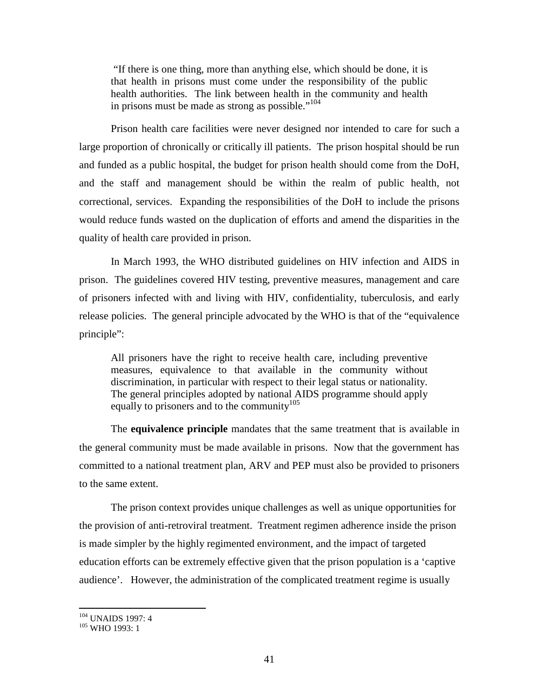"If there is one thing, more than anything else, which should be done, it is that health in prisons must come under the responsibility of the public health authorities. The link between health in the community and health in prisons must be made as strong as possible."<sup>104</sup>

Prison health care facilities were never designed nor intended to care for such a large proportion of chronically or critically ill patients. The prison hospital should be run and funded as a public hospital, the budget for prison health should come from the DoH, and the staff and management should be within the realm of public health, not correctional, services. Expanding the responsibilities of the DoH to include the prisons would reduce funds wasted on the duplication of efforts and amend the disparities in the quality of health care provided in prison.

In March 1993, the WHO distributed guidelines on HIV infection and AIDS in prison. The guidelines covered HIV testing, preventive measures, management and care of prisoners infected with and living with HIV, confidentiality, tuberculosis, and early release policies. The general principle advocated by the WHO is that of the "equivalence principle":

All prisoners have the right to receive health care, including preventive measures, equivalence to that available in the community without discrimination, in particular with respect to their legal status or nationality. The general principles adopted by national AIDS programme should apply equally to prisoners and to the community<sup>105</sup>

The **equivalence principle** mandates that the same treatment that is available in the general community must be made available in prisons. Now that the government has committed to a national treatment plan, ARV and PEP must also be provided to prisoners to the same extent.

The prison context provides unique challenges as well as unique opportunities for the provision of anti-retroviral treatment. Treatment regimen adherence inside the prison is made simpler by the highly regimented environment, and the impact of targeted education efforts can be extremely effective given that the prison population is a 'captive audience'. However, the administration of the complicated treatment regime is usually

 $\overline{a}$ <sup>104</sup> UNAIDS 1997: 4

<sup>105</sup> WHO 1993: 1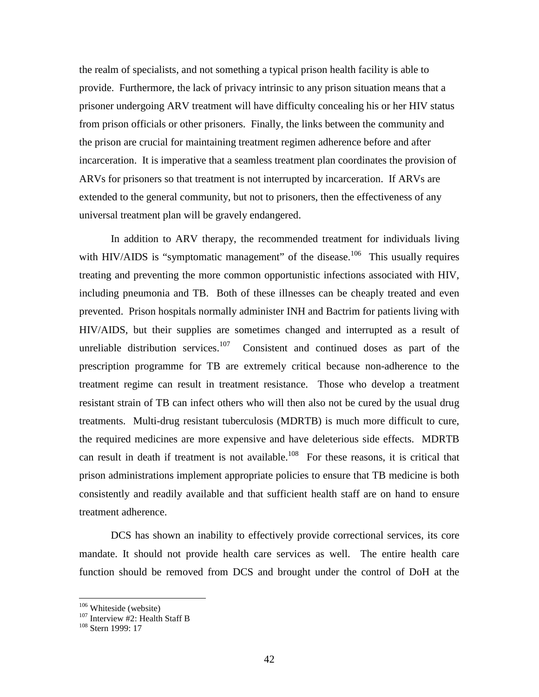the realm of specialists, and not something a typical prison health facility is able to provide. Furthermore, the lack of privacy intrinsic to any prison situation means that a prisoner undergoing ARV treatment will have difficulty concealing his or her HIV status from prison officials or other prisoners. Finally, the links between the community and the prison are crucial for maintaining treatment regimen adherence before and after incarceration. It is imperative that a seamless treatment plan coordinates the provision of ARVs for prisoners so that treatment is not interrupted by incarceration. If ARVs are extended to the general community, but not to prisoners, then the effectiveness of any universal treatment plan will be gravely endangered.

In addition to ARV therapy, the recommended treatment for individuals living with HIV/AIDS is "symptomatic management" of the disease.<sup>106</sup> This usually requires treating and preventing the more common opportunistic infections associated with HIV, including pneumonia and TB. Both of these illnesses can be cheaply treated and even prevented. Prison hospitals normally administer INH and Bactrim for patients living with HIV/AIDS, but their supplies are sometimes changed and interrupted as a result of unreliable distribution services.<sup>107</sup> Consistent and continued doses as part of the prescription programme for TB are extremely critical because non-adherence to the treatment regime can result in treatment resistance. Those who develop a treatment resistant strain of TB can infect others who will then also not be cured by the usual drug treatments. Multi-drug resistant tuberculosis (MDRTB) is much more difficult to cure, the required medicines are more expensive and have deleterious side effects. MDRTB can result in death if treatment is not available.<sup>108</sup> For these reasons, it is critical that prison administrations implement appropriate policies to ensure that TB medicine is both consistently and readily available and that sufficient health staff are on hand to ensure treatment adherence.

DCS has shown an inability to effectively provide correctional services, its core mandate. It should not provide health care services as well. The entire health care function should be removed from DCS and brought under the control of DoH at the

<sup>106</sup> Whiteside (website)

<sup>&</sup>lt;sup>107</sup> Interview #2: Health Staff B

<sup>&</sup>lt;sup>108</sup> Stern 1999: 17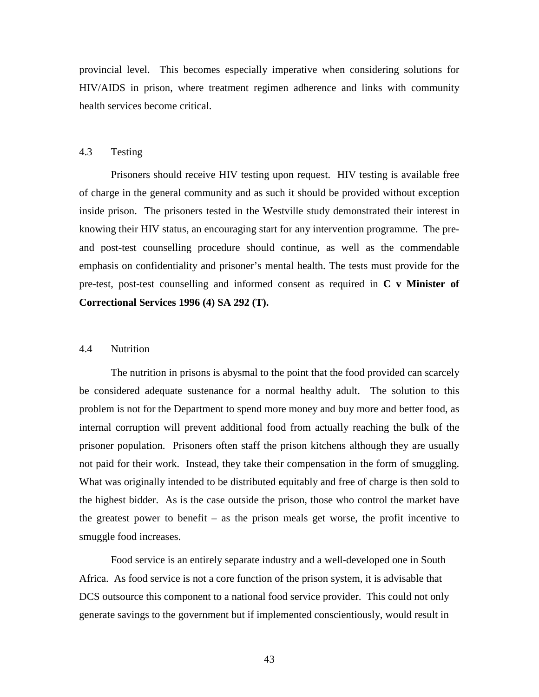provincial level. This becomes especially imperative when considering solutions for HIV/AIDS in prison, where treatment regimen adherence and links with community health services become critical.

## 4.3 Testing

Prisoners should receive HIV testing upon request. HIV testing is available free of charge in the general community and as such it should be provided without exception inside prison. The prisoners tested in the Westville study demonstrated their interest in knowing their HIV status, an encouraging start for any intervention programme. The preand post-test counselling procedure should continue, as well as the commendable emphasis on confidentiality and prisoner's mental health. The tests must provide for the pre-test, post-test counselling and informed consent as required in **C v Minister of Correctional Services 1996 (4) SA 292 (T).** 

## 4.4 Nutrition

 The nutrition in prisons is abysmal to the point that the food provided can scarcely be considered adequate sustenance for a normal healthy adult. The solution to this problem is not for the Department to spend more money and buy more and better food, as internal corruption will prevent additional food from actually reaching the bulk of the prisoner population. Prisoners often staff the prison kitchens although they are usually not paid for their work. Instead, they take their compensation in the form of smuggling. What was originally intended to be distributed equitably and free of charge is then sold to the highest bidder. As is the case outside the prison, those who control the market have the greatest power to benefit – as the prison meals get worse, the profit incentive to smuggle food increases.

 Food service is an entirely separate industry and a well-developed one in South Africa. As food service is not a core function of the prison system, it is advisable that DCS outsource this component to a national food service provider. This could not only generate savings to the government but if implemented conscientiously, would result in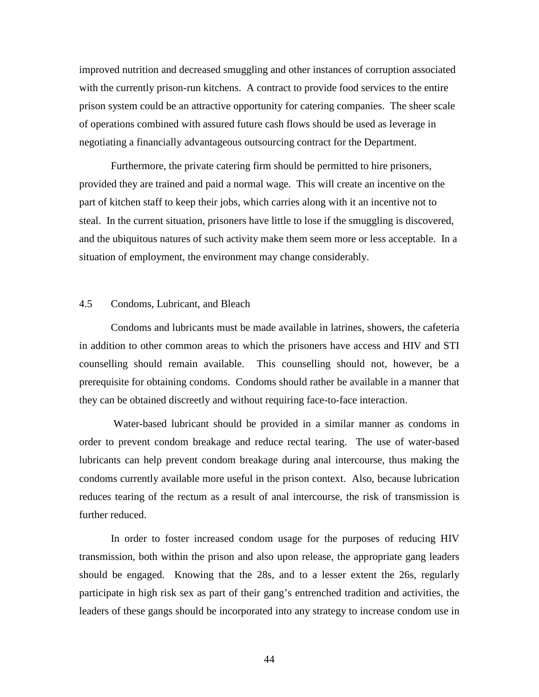improved nutrition and decreased smuggling and other instances of corruption associated with the currently prison-run kitchens. A contract to provide food services to the entire prison system could be an attractive opportunity for catering companies. The sheer scale of operations combined with assured future cash flows should be used as leverage in negotiating a financially advantageous outsourcing contract for the Department.

 Furthermore, the private catering firm should be permitted to hire prisoners, provided they are trained and paid a normal wage. This will create an incentive on the part of kitchen staff to keep their jobs, which carries along with it an incentive not to steal. In the current situation, prisoners have little to lose if the smuggling is discovered, and the ubiquitous natures of such activity make them seem more or less acceptable. In a situation of employment, the environment may change considerably.

## 4.5 Condoms, Lubricant, and Bleach

Condoms and lubricants must be made available in latrines, showers, the cafeteria in addition to other common areas to which the prisoners have access and HIV and STI counselling should remain available. This counselling should not, however, be a prerequisite for obtaining condoms. Condoms should rather be available in a manner that they can be obtained discreetly and without requiring face-to-face interaction.

 Water-based lubricant should be provided in a similar manner as condoms in order to prevent condom breakage and reduce rectal tearing. The use of water-based lubricants can help prevent condom breakage during anal intercourse, thus making the condoms currently available more useful in the prison context. Also, because lubrication reduces tearing of the rectum as a result of anal intercourse, the risk of transmission is further reduced.

In order to foster increased condom usage for the purposes of reducing HIV transmission, both within the prison and also upon release, the appropriate gang leaders should be engaged. Knowing that the 28s, and to a lesser extent the 26s, regularly participate in high risk sex as part of their gang's entrenched tradition and activities, the leaders of these gangs should be incorporated into any strategy to increase condom use in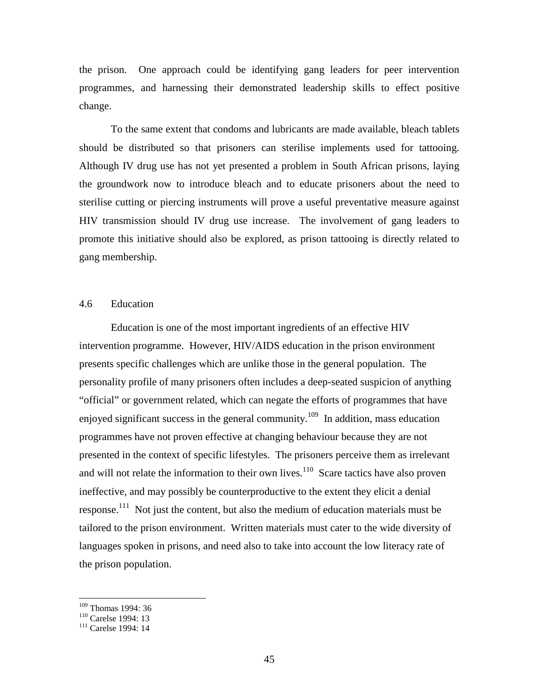the prison. One approach could be identifying gang leaders for peer intervention programmes, and harnessing their demonstrated leadership skills to effect positive change.

To the same extent that condoms and lubricants are made available, bleach tablets should be distributed so that prisoners can sterilise implements used for tattooing. Although IV drug use has not yet presented a problem in South African prisons, laying the groundwork now to introduce bleach and to educate prisoners about the need to sterilise cutting or piercing instruments will prove a useful preventative measure against HIV transmission should IV drug use increase. The involvement of gang leaders to promote this initiative should also be explored, as prison tattooing is directly related to gang membership.

## 4.6 Education

Education is one of the most important ingredients of an effective HIV intervention programme. However, HIV/AIDS education in the prison environment presents specific challenges which are unlike those in the general population. The personality profile of many prisoners often includes a deep-seated suspicion of anything "official" or government related, which can negate the efforts of programmes that have enjoyed significant success in the general community.<sup>109</sup> In addition, mass education programmes have not proven effective at changing behaviour because they are not presented in the context of specific lifestyles. The prisoners perceive them as irrelevant and will not relate the information to their own lives.<sup>110</sup> Scare tactics have also proven ineffective, and may possibly be counterproductive to the extent they elicit a denial response.<sup>111</sup> Not just the content, but also the medium of education materials must be tailored to the prison environment. Written materials must cater to the wide diversity of languages spoken in prisons, and need also to take into account the low literacy rate of the prison population.

<sup>109</sup> Thomas 1994: 36

<sup>&</sup>lt;sup>110</sup> Carelse 1994: 13

<sup>111</sup> Carelse 1994: 14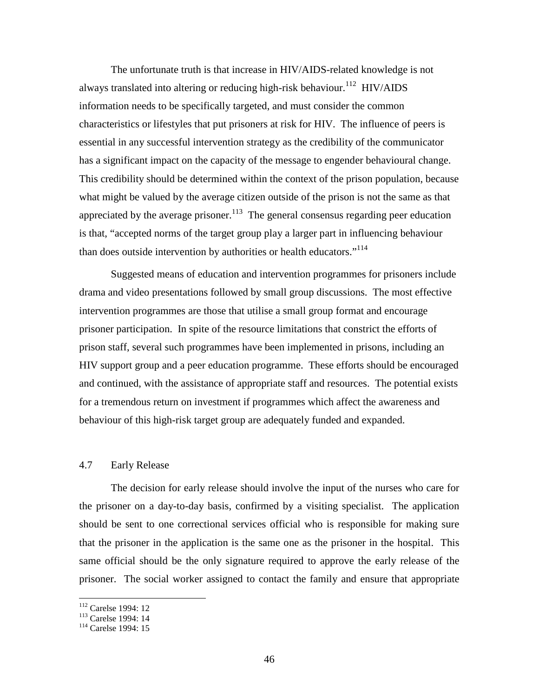The unfortunate truth is that increase in HIV/AIDS-related knowledge is not always translated into altering or reducing high-risk behaviour.<sup>112</sup> HIV/AIDS information needs to be specifically targeted, and must consider the common characteristics or lifestyles that put prisoners at risk for HIV. The influence of peers is essential in any successful intervention strategy as the credibility of the communicator has a significant impact on the capacity of the message to engender behavioural change. This credibility should be determined within the context of the prison population, because what might be valued by the average citizen outside of the prison is not the same as that appreciated by the average prisoner.<sup>113</sup> The general consensus regarding peer education is that, "accepted norms of the target group play a larger part in influencing behaviour than does outside intervention by authorities or health educators."<sup>114</sup>

 Suggested means of education and intervention programmes for prisoners include drama and video presentations followed by small group discussions. The most effective intervention programmes are those that utilise a small group format and encourage prisoner participation. In spite of the resource limitations that constrict the efforts of prison staff, several such programmes have been implemented in prisons, including an HIV support group and a peer education programme. These efforts should be encouraged and continued, with the assistance of appropriate staff and resources. The potential exists for a tremendous return on investment if programmes which affect the awareness and behaviour of this high-risk target group are adequately funded and expanded.

## 4.7 Early Release

The decision for early release should involve the input of the nurses who care for the prisoner on a day-to-day basis, confirmed by a visiting specialist. The application should be sent to one correctional services official who is responsible for making sure that the prisoner in the application is the same one as the prisoner in the hospital. This same official should be the only signature required to approve the early release of the prisoner. The social worker assigned to contact the family and ensure that appropriate

<sup>112</sup> Carelse 1994: 12

<sup>113</sup> Carelse 1994: 14

<sup>114</sup> Carelse 1994: 15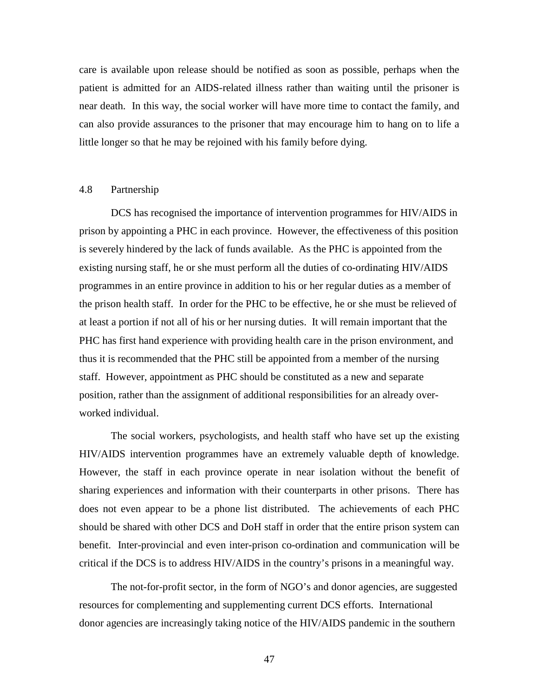care is available upon release should be notified as soon as possible, perhaps when the patient is admitted for an AIDS-related illness rather than waiting until the prisoner is near death. In this way, the social worker will have more time to contact the family, and can also provide assurances to the prisoner that may encourage him to hang on to life a little longer so that he may be rejoined with his family before dying.

## 4.8 Partnership

DCS has recognised the importance of intervention programmes for HIV/AIDS in prison by appointing a PHC in each province. However, the effectiveness of this position is severely hindered by the lack of funds available. As the PHC is appointed from the existing nursing staff, he or she must perform all the duties of co-ordinating HIV/AIDS programmes in an entire province in addition to his or her regular duties as a member of the prison health staff. In order for the PHC to be effective, he or she must be relieved of at least a portion if not all of his or her nursing duties. It will remain important that the PHC has first hand experience with providing health care in the prison environment, and thus it is recommended that the PHC still be appointed from a member of the nursing staff. However, appointment as PHC should be constituted as a new and separate position, rather than the assignment of additional responsibilities for an already overworked individual.

The social workers, psychologists, and health staff who have set up the existing HIV/AIDS intervention programmes have an extremely valuable depth of knowledge. However, the staff in each province operate in near isolation without the benefit of sharing experiences and information with their counterparts in other prisons. There has does not even appear to be a phone list distributed. The achievements of each PHC should be shared with other DCS and DoH staff in order that the entire prison system can benefit. Inter-provincial and even inter-prison co-ordination and communication will be critical if the DCS is to address HIV/AIDS in the country's prisons in a meaningful way.

The not-for-profit sector, in the form of NGO's and donor agencies, are suggested resources for complementing and supplementing current DCS efforts. International donor agencies are increasingly taking notice of the HIV/AIDS pandemic in the southern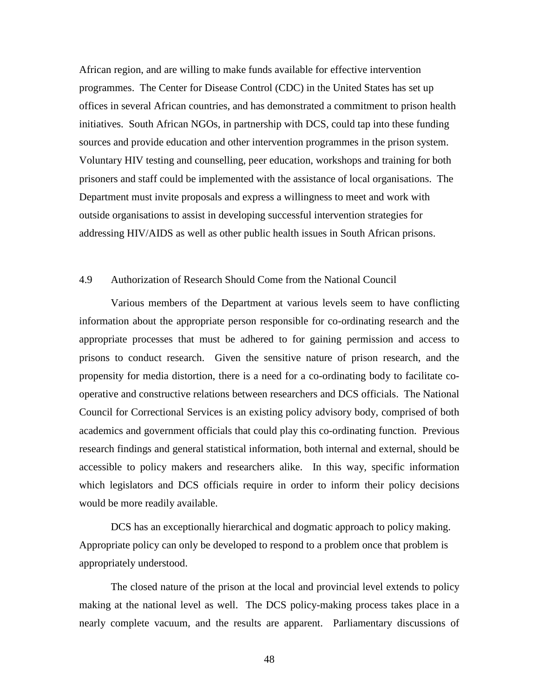African region, and are willing to make funds available for effective intervention programmes. The Center for Disease Control (CDC) in the United States has set up offices in several African countries, and has demonstrated a commitment to prison health initiatives. South African NGOs, in partnership with DCS, could tap into these funding sources and provide education and other intervention programmes in the prison system. Voluntary HIV testing and counselling, peer education, workshops and training for both prisoners and staff could be implemented with the assistance of local organisations. The Department must invite proposals and express a willingness to meet and work with outside organisations to assist in developing successful intervention strategies for addressing HIV/AIDS as well as other public health issues in South African prisons.

#### 4.9 Authorization of Research Should Come from the National Council

 Various members of the Department at various levels seem to have conflicting information about the appropriate person responsible for co-ordinating research and the appropriate processes that must be adhered to for gaining permission and access to prisons to conduct research. Given the sensitive nature of prison research, and the propensity for media distortion, there is a need for a co-ordinating body to facilitate cooperative and constructive relations between researchers and DCS officials. The National Council for Correctional Services is an existing policy advisory body, comprised of both academics and government officials that could play this co-ordinating function. Previous research findings and general statistical information, both internal and external, should be accessible to policy makers and researchers alike. In this way, specific information which legislators and DCS officials require in order to inform their policy decisions would be more readily available.

DCS has an exceptionally hierarchical and dogmatic approach to policy making. Appropriate policy can only be developed to respond to a problem once that problem is appropriately understood.

The closed nature of the prison at the local and provincial level extends to policy making at the national level as well. The DCS policy-making process takes place in a nearly complete vacuum, and the results are apparent. Parliamentary discussions of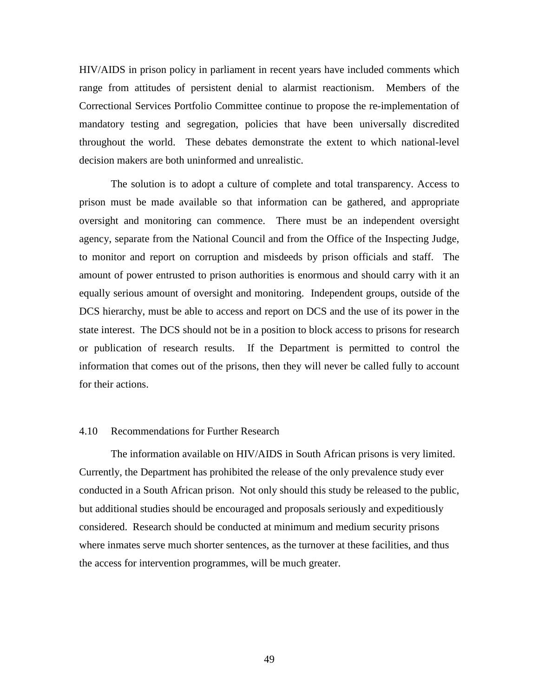HIV/AIDS in prison policy in parliament in recent years have included comments which range from attitudes of persistent denial to alarmist reactionism. Members of the Correctional Services Portfolio Committee continue to propose the re-implementation of mandatory testing and segregation, policies that have been universally discredited throughout the world. These debates demonstrate the extent to which national-level decision makers are both uninformed and unrealistic.

The solution is to adopt a culture of complete and total transparency. Access to prison must be made available so that information can be gathered, and appropriate oversight and monitoring can commence. There must be an independent oversight agency, separate from the National Council and from the Office of the Inspecting Judge, to monitor and report on corruption and misdeeds by prison officials and staff. The amount of power entrusted to prison authorities is enormous and should carry with it an equally serious amount of oversight and monitoring. Independent groups, outside of the DCS hierarchy, must be able to access and report on DCS and the use of its power in the state interest. The DCS should not be in a position to block access to prisons for research or publication of research results. If the Department is permitted to control the information that comes out of the prisons, then they will never be called fully to account for their actions.

## 4.10 Recommendations for Further Research

The information available on HIV/AIDS in South African prisons is very limited. Currently, the Department has prohibited the release of the only prevalence study ever conducted in a South African prison. Not only should this study be released to the public, but additional studies should be encouraged and proposals seriously and expeditiously considered. Research should be conducted at minimum and medium security prisons where inmates serve much shorter sentences, as the turnover at these facilities, and thus the access for intervention programmes, will be much greater.

49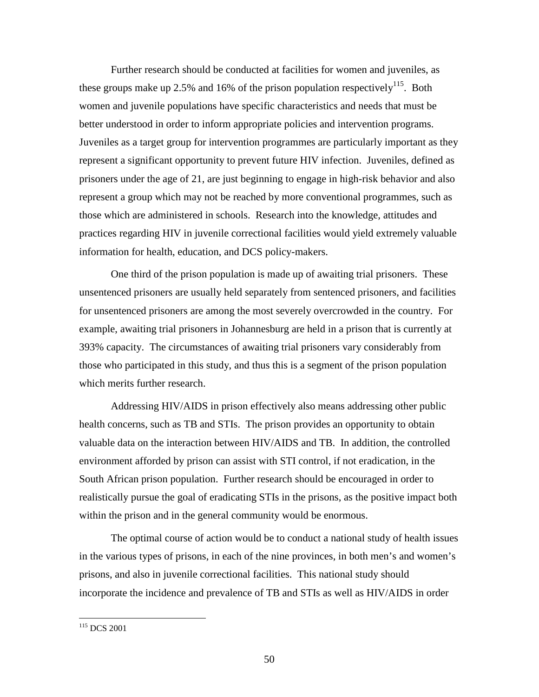Further research should be conducted at facilities for women and juveniles, as these groups make up 2.5% and 16% of the prison population respectively<sup>115</sup>. Both women and juvenile populations have specific characteristics and needs that must be better understood in order to inform appropriate policies and intervention programs. Juveniles as a target group for intervention programmes are particularly important as they represent a significant opportunity to prevent future HIV infection. Juveniles, defined as prisoners under the age of 21, are just beginning to engage in high-risk behavior and also represent a group which may not be reached by more conventional programmes, such as those which are administered in schools. Research into the knowledge, attitudes and practices regarding HIV in juvenile correctional facilities would yield extremely valuable information for health, education, and DCS policy-makers.

One third of the prison population is made up of awaiting trial prisoners. These unsentenced prisoners are usually held separately from sentenced prisoners, and facilities for unsentenced prisoners are among the most severely overcrowded in the country. For example, awaiting trial prisoners in Johannesburg are held in a prison that is currently at 393% capacity. The circumstances of awaiting trial prisoners vary considerably from those who participated in this study, and thus this is a segment of the prison population which merits further research.

Addressing HIV/AIDS in prison effectively also means addressing other public health concerns, such as TB and STIs. The prison provides an opportunity to obtain valuable data on the interaction between HIV/AIDS and TB. In addition, the controlled environment afforded by prison can assist with STI control, if not eradication, in the South African prison population. Further research should be encouraged in order to realistically pursue the goal of eradicating STIs in the prisons, as the positive impact both within the prison and in the general community would be enormous.

The optimal course of action would be to conduct a national study of health issues in the various types of prisons, in each of the nine provinces, in both men's and women's prisons, and also in juvenile correctional facilities. This national study should incorporate the incidence and prevalence of TB and STIs as well as HIV/AIDS in order

<sup>115</sup> DCS 2001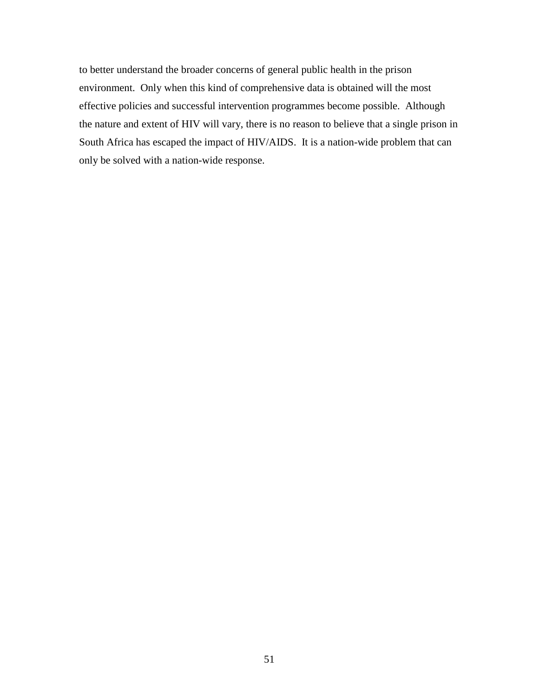to better understand the broader concerns of general public health in the prison environment. Only when this kind of comprehensive data is obtained will the most effective policies and successful intervention programmes become possible. Although the nature and extent of HIV will vary, there is no reason to believe that a single prison in South Africa has escaped the impact of HIV/AIDS. It is a nation-wide problem that can only be solved with a nation-wide response.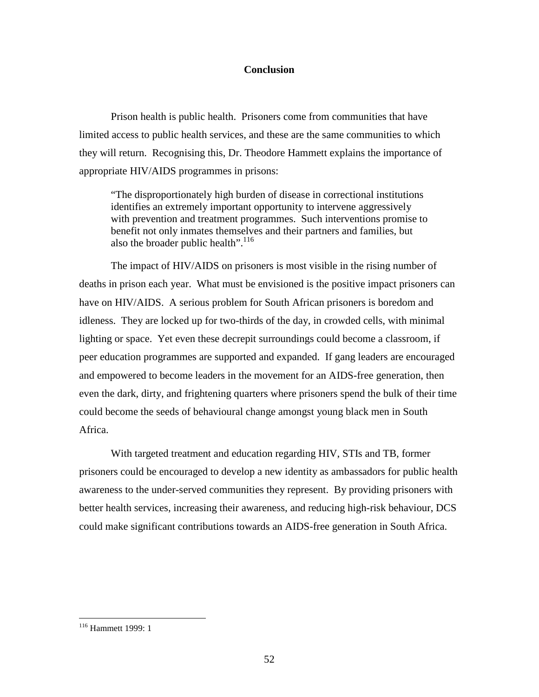## **Conclusion**

Prison health is public health. Prisoners come from communities that have limited access to public health services, and these are the same communities to which they will return. Recognising this, Dr. Theodore Hammett explains the importance of appropriate HIV/AIDS programmes in prisons:

"The disproportionately high burden of disease in correctional institutions identifies an extremely important opportunity to intervene aggressively with prevention and treatment programmes. Such interventions promise to benefit not only inmates themselves and their partners and families, but also the broader public health".<sup>116</sup>

The impact of HIV/AIDS on prisoners is most visible in the rising number of deaths in prison each year. What must be envisioned is the positive impact prisoners can have on HIV/AIDS. A serious problem for South African prisoners is boredom and idleness. They are locked up for two-thirds of the day, in crowded cells, with minimal lighting or space. Yet even these decrepit surroundings could become a classroom, if peer education programmes are supported and expanded. If gang leaders are encouraged and empowered to become leaders in the movement for an AIDS-free generation, then even the dark, dirty, and frightening quarters where prisoners spend the bulk of their time could become the seeds of behavioural change amongst young black men in South Africa.

With targeted treatment and education regarding HIV, STIs and TB, former prisoners could be encouraged to develop a new identity as ambassadors for public health awareness to the under-served communities they represent. By providing prisoners with better health services, increasing their awareness, and reducing high-risk behaviour, DCS could make significant contributions towards an AIDS-free generation in South Africa.

<sup>116</sup> Hammett 1999: 1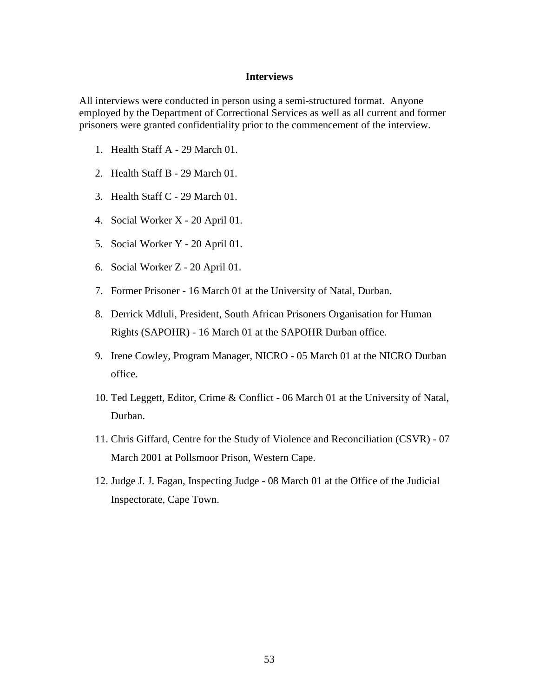## **Interviews**

All interviews were conducted in person using a semi-structured format. Anyone employed by the Department of Correctional Services as well as all current and former prisoners were granted confidentiality prior to the commencement of the interview.

- 1. Health Staff A 29 March 01.
- 2. Health Staff B 29 March 01.
- 3. Health Staff C 29 March 01.
- 4. Social Worker X 20 April 01.
- 5. Social Worker Y 20 April 01.
- 6. Social Worker Z 20 April 01.
- 7. Former Prisoner 16 March 01 at the University of Natal, Durban.
- 8. Derrick Mdluli, President, South African Prisoners Organisation for Human Rights (SAPOHR) - 16 March 01 at the SAPOHR Durban office.
- 9. Irene Cowley, Program Manager, NICRO 05 March 01 at the NICRO Durban office.
- 10. Ted Leggett, Editor, Crime & Conflict 06 March 01 at the University of Natal, Durban.
- 11. Chris Giffard, Centre for the Study of Violence and Reconciliation (CSVR) 07 March 2001 at Pollsmoor Prison, Western Cape.
- 12. Judge J. J. Fagan, Inspecting Judge 08 March 01 at the Office of the Judicial Inspectorate, Cape Town.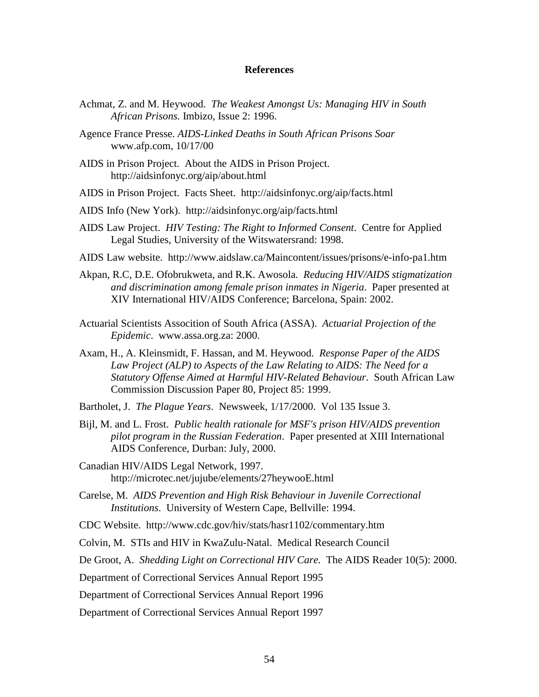## **References**

- Achmat, Z. and M. Heywood. *The Weakest Amongst Us: Managing HIV in South African Prisons.* Imbizo, Issue 2: 1996.
- Agence France Presse. *AIDS-Linked Deaths in South African Prisons Soar*  www.afp.com, 10/17/00
- AIDS in Prison Project. About the AIDS in Prison Project. http://aidsinfonyc.org/aip/about.html
- AIDS in Prison Project. Facts Sheet. http://aidsinfonyc.org/aip/facts.html
- AIDS Info (New York). http://aidsinfonyc.org/aip/facts.html
- AIDS Law Project. *HIV Testing: The Right to Informed Consent*. Centre for Applied Legal Studies, University of the Witswatersrand: 1998.
- AIDS Law website. http://www.aidslaw.ca/Maincontent/issues/prisons/e-info-pa1.htm
- Akpan, R.C, D.E. Ofobrukweta, and R.K. Awosola*. Reducing HIV/AIDS stigmatization and discrimination among female prison inmates in Nigeria*. Paper presented at XIV International HIV/AIDS Conference; Barcelona, Spain: 2002.
- Actuarial Scientists Assocition of South Africa (ASSA). *Actuarial Projection of the Epidemic*. www.assa.org.za: 2000.
- Axam, H., A. Kleinsmidt, F. Hassan, and M. Heywood. *Response Paper of the AIDS Law Project (ALP) to Aspects of the Law Relating to AIDS: The Need for a Statutory Offense Aimed at Harmful HIV-Related Behaviour*. South African Law Commission Discussion Paper 80, Project 85: 1999.

Bartholet, J. *The Plague Years*. Newsweek, 1/17/2000. Vol 135 Issue 3.

- Bijl, M. and L. Frost. *Public health rationale for MSF's prison HIV/AIDS prevention pilot program in the Russian Federation*. Paper presented at XIII International AIDS Conference, Durban: July, 2000.
- Canadian HIV/AIDS Legal Network, 1997. http://microtec.net/jujube/elements/27heywooE.html
- Carelse, M. *AIDS Prevention and High Risk Behaviour in Juvenile Correctional Institutions*. University of Western Cape, Bellville: 1994.

CDC Website. http://www.cdc.gov/hiv/stats/hasr1102/commentary.htm

Colvin, M. STIs and HIV in KwaZulu-Natal. Medical Research Council

De Groot, A. *Shedding Light on Correctional HIV Care.* The AIDS Reader 10(5): 2000.

Department of Correctional Services Annual Report 1995

Department of Correctional Services Annual Report 1996

Department of Correctional Services Annual Report 1997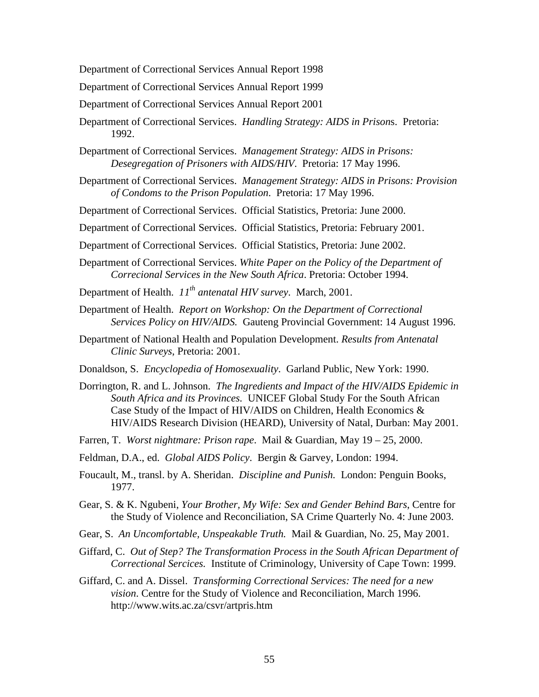Department of Correctional Services Annual Report 1998

Department of Correctional Services Annual Report 1999

Department of Correctional Services Annual Report 2001

- Department of Correctional Services. *Handling Strategy: AIDS in Prison*s. Pretoria: 1992.
- Department of Correctional Services. *Management Strategy: AIDS in Prisons: Desegregation of Prisoners with AIDS/HIV*. Pretoria: 17 May 1996.
- Department of Correctional Services. *Management Strategy: AIDS in Prisons: Provision of Condoms to the Prison Population*. Pretoria: 17 May 1996.

Department of Correctional Services. Official Statistics, Pretoria: June 2000.

Department of Correctional Services. Official Statistics, Pretoria: February 2001.

Department of Correctional Services. Official Statistics, Pretoria: June 2002.

- Department of Correctional Services. *White Paper on the Policy of the Department of Correcional Services in the New South Africa*. Pretoria: October 1994.
- Department of Health. *11th antenatal HIV survey*. March, 2001.
- Department of Health. *Report on Workshop: On the Department of Correctional Services Policy on HIV/AIDS.* Gauteng Provincial Government: 14 August 1996.
- Department of National Health and Population Development. *Results from Antenatal Clinic Surveys*, Pretoria: 2001.
- Donaldson, S. *Encyclopedia of Homosexuality*. Garland Public, New York: 1990.
- Dorrington, R. and L. Johnson. *The Ingredients and Impact of the HIV/AIDS Epidemic in South Africa and its Provinces.* UNICEF Global Study For the South African Case Study of the Impact of HIV/AIDS on Children, Health Economics & HIV/AIDS Research Division (HEARD), University of Natal, Durban: May 2001.
- Farren, T. *Worst nightmare: Prison rape*. Mail & Guardian, May 19 25, 2000.
- Feldman, D.A., ed. *Global AIDS Policy*. Bergin & Garvey, London: 1994.
- Foucault, M., transl. by A. Sheridan. *Discipline and Punish.* London: Penguin Books, 1977.
- Gear, S. & K. Ngubeni, *Your Brother, My Wife: Sex and Gender Behind Bars*, Centre for the Study of Violence and Reconciliation, SA Crime Quarterly No. 4: June 2003.
- Gear, S. *An Uncomfortable, Unspeakable Truth.* Mail & Guardian, No. 25, May 2001.
- Giffard, C. *Out of Step? The Transformation Process in the South African Department of Correctional Sercices.* Institute of Criminology, University of Cape Town: 1999.
- Giffard, C. and A. Dissel. *Transforming Correctional Services: The need for a new vision*. Centre for the Study of Violence and Reconciliation, March 1996. http://www.wits.ac.za/csvr/artpris.htm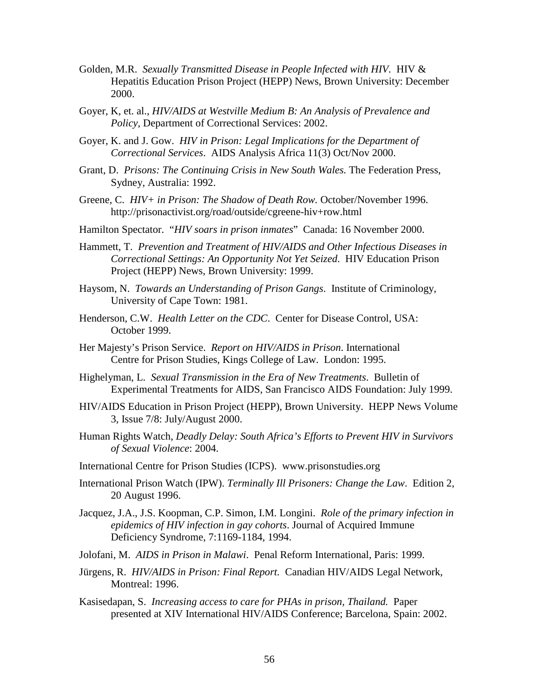- Golden, M.R. *Sexually Transmitted Disease in People Infected with HIV*. HIV & Hepatitis Education Prison Project (HEPP) News, Brown University: December 2000.
- Goyer, K, et. al., *HIV/AIDS at Westville Medium B: An Analysis of Prevalence and Policy*, Department of Correctional Services: 2002.
- Goyer, K. and J. Gow. *HIV in Prison: Legal Implications for the Department of Correctional Services*. AIDS Analysis Africa 11(3) Oct/Nov 2000.
- Grant, D. *Prisons: The Continuing Crisis in New South Wales.* The Federation Press, Sydney, Australia: 1992.
- Greene, C. *HIV+ in Prison: The Shadow of Death Row.* October/November 1996. http://prisonactivist.org/road/outside/cgreene-hiv+row.html
- Hamilton Spectator. "*HIV soars in prison inmates*" Canada: 16 November 2000.
- Hammett, T. *Prevention and Treatment of HIV/AIDS and Other Infectious Diseases in Correctional Settings: An Opportunity Not Yet Seized*. HIV Education Prison Project (HEPP) News, Brown University: 1999.
- Haysom, N. *Towards an Understanding of Prison Gangs*. Institute of Criminology, University of Cape Town: 1981.
- Henderson, C.W. *Health Letter on the CDC*. Center for Disease Control, USA: October 1999.
- Her Majesty's Prison Service. *Report on HIV/AIDS in Prison*. International Centre for Prison Studies, Kings College of Law. London: 1995.
- Highelyman, L. *Sexual Transmission in the Era of New Treatments*. Bulletin of Experimental Treatments for AIDS, San Francisco AIDS Foundation: July 1999.
- HIV/AIDS Education in Prison Project (HEPP), Brown University. HEPP News Volume 3, Issue 7/8: July/August 2000.
- Human Rights Watch, *Deadly Delay: South Africa's Efforts to Prevent HIV in Survivors of Sexual Violence*: 2004.
- International Centre for Prison Studies (ICPS). www.prisonstudies.org
- International Prison Watch (IPW). *Terminally Ill Prisoners: Change the Law*. Edition 2, 20 August 1996.
- Jacquez, J.A., J.S. Koopman, C.P. Simon, I.M. Longini. *Role of the primary infection in epidemics of HIV infection in gay cohorts*. Journal of Acquired Immune Deficiency Syndrome, 7:1169-1184, 1994.
- Jolofani, M. *AIDS in Prison in Malawi*. Penal Reform International, Paris: 1999.
- Jürgens, R. *HIV/AIDS in Prison: Final Report.* Canadian HIV/AIDS Legal Network, Montreal: 1996.
- Kasisedapan, S. *Increasing access to care for PHAs in prison, Thailand.* Paper presented at XIV International HIV/AIDS Conference; Barcelona, Spain: 2002.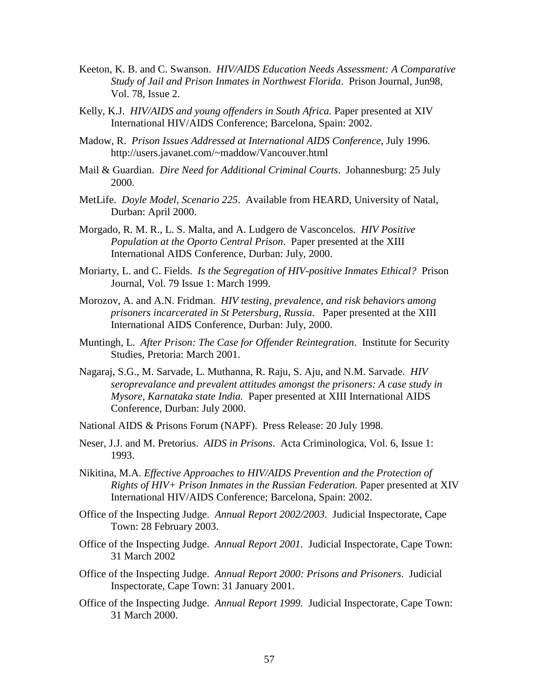- Keeton, K. B. and C. Swanson. *HIV/AIDS Education Needs Assessment: A Comparative Study of Jail and Prison Inmates in Northwest Florida*. Prison Journal, Jun98, Vol. 78, Issue 2.
- Kelly, K.J. *HIV/AIDS and young offenders in South Africa.* Paper presented at XIV International HIV/AIDS Conference; Barcelona, Spain: 2002.
- Madow, R. *Prison Issues Addressed at International AIDS Conference*, July 1996. http://users.javanet.com/~maddow/Vancouver.html
- Mail & Guardian. *Dire Need for Additional Criminal Courts*. Johannesburg: 25 July 2000.
- MetLife. *Doyle Model, Scenario 225*. Available from HEARD, University of Natal, Durban: April 2000.
- Morgado, R. M. R., L. S. Malta, and A. Ludgero de Vasconcelos. *HIV Positive Population at the Oporto Central Prison*. Paper presented at the XIII International AIDS Conference, Durban: July, 2000.
- Moriarty, L. and C. Fields. *Is the Segregation of HIV-positive Inmates Ethical?* Prison Journal, Vol. 79 Issue 1: March 1999.
- Morozov, A. and A.N. Fridman. *HIV testing, prevalence, and risk behaviors among prisoners incarcerated in St Petersburg, Russia*. Paper presented at the XIII International AIDS Conference, Durban: July, 2000.
- Muntingh, L. *After Prison: The Case for Offender Reintegration*. Institute for Security Studies, Pretoria: March 2001.
- Nagaraj, S.G., M. Sarvade, L. Muthanna, R. Raju, S. Aju, and N.M. Sarvade. *HIV seroprevalance and prevalent attitudes amongst the prisoners: A case study in Mysore, Karnataka state India.* Paper presented at XIII International AIDS Conference, Durban: July 2000.
- National AIDS & Prisons Forum (NAPF). Press Release: 20 July 1998.
- Neser, J.J. and M. Pretorius. *AIDS in Prisons*. Acta Criminologica, Vol. 6, Issue 1: 1993.
- Nikitina, M.A. *Effective Approaches to HIV/AIDS Prevention and the Protection of Rights of HIV+ Prison Inmates in the Russian Federation.* Paper presented at XIV International HIV/AIDS Conference; Barcelona, Spain: 2002.
- Office of the Inspecting Judge. *Annual Report 2002/2003*. Judicial Inspectorate, Cape Town: 28 February 2003.
- Office of the Inspecting Judge. *Annual Report 2001.* Judicial Inspectorate, Cape Town: 31 March 2002
- Office of the Inspecting Judge. *Annual Report 2000: Prisons and Prisoners*. Judicial Inspectorate, Cape Town: 31 January 2001.
- Office of the Inspecting Judge. *Annual Report 1999.* Judicial Inspectorate, Cape Town: 31 March 2000.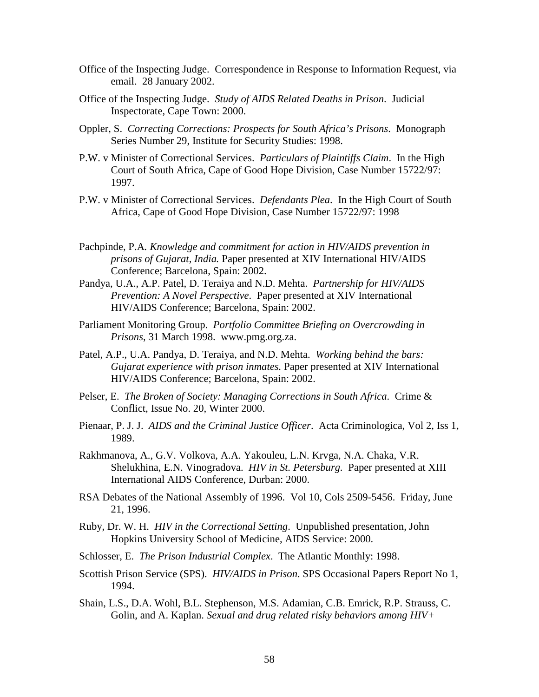- Office of the Inspecting Judge. Correspondence in Response to Information Request, via email. 28 January 2002.
- Office of the Inspecting Judge. *Study of AIDS Related Deaths in Prison*. Judicial Inspectorate, Cape Town: 2000.
- Oppler, S. *Correcting Corrections: Prospects for South Africa's Prisons*. Monograph Series Number 29, Institute for Security Studies: 1998.
- P.W. v Minister of Correctional Services. *Particulars of Plaintiffs Claim*. In the High Court of South Africa, Cape of Good Hope Division, Case Number 15722/97: 1997.
- P.W. v Minister of Correctional Services. *Defendants Plea*. In the High Court of South Africa, Cape of Good Hope Division, Case Number 15722/97: 1998
- Pachpinde, P.A*. Knowledge and commitment for action in HIV/AIDS prevention in prisons of Gujarat, India.* Paper presented at XIV International HIV/AIDS Conference; Barcelona, Spain: 2002.
- Pandya, U.A., A.P. Patel, D. Teraiya and N.D. Mehta. *Partnership for HIV/AIDS Prevention: A Novel Perspective*. Paper presented at XIV International HIV/AIDS Conference; Barcelona, Spain: 2002.
- Parliament Monitoring Group. *Portfolio Committee Briefing on Overcrowding in Prisons*, 31 March 1998. www.pmg.org.za.
- Patel, A.P., U.A. Pandya, D. Teraiya, and N.D. Mehta. *Working behind the bars: Gujarat experience with prison inmates.* Paper presented at XIV International HIV/AIDS Conference; Barcelona, Spain: 2002.
- Pelser, E. *The Broken of Society: Managing Corrections in South Africa*. Crime & Conflict, Issue No. 20, Winter 2000.
- Pienaar, P. J. J. *AIDS and the Criminal Justice Officer*. Acta Criminologica, Vol 2, Iss 1, 1989.
- Rakhmanova, A., G.V. Volkova, A.A. Yakouleu, L.N. Krvga, N.A. Chaka, V.R. Shelukhina, E.N. Vinogradova. *HIV in St. Petersburg.* Paper presented at XIII International AIDS Conference, Durban: 2000.
- RSA Debates of the National Assembly of 1996. Vol 10, Cols 2509-5456. Friday, June 21, 1996.
- Ruby, Dr. W. H. *HIV in the Correctional Setting*. Unpublished presentation, John Hopkins University School of Medicine, AIDS Service: 2000.
- Schlosser, E. *The Prison Industrial Complex*. The Atlantic Monthly: 1998.
- Scottish Prison Service (SPS). *HIV/AIDS in Prison*. SPS Occasional Papers Report No 1, 1994.
- Shain, L.S., D.A. Wohl, B.L. Stephenson, M.S. Adamian, C.B. Emrick, R.P. Strauss, C. Golin, and A. Kaplan. *Sexual and drug related risky behaviors among HIV+*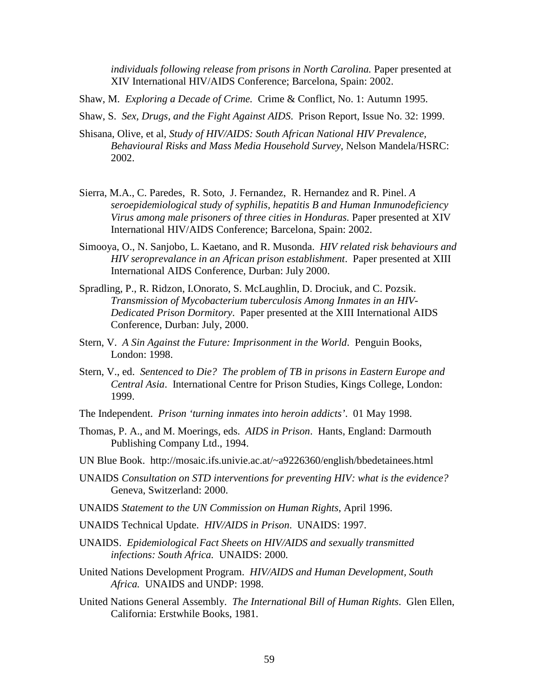*individuals following release from prisons in North Carolina.* Paper presented at XIV International HIV/AIDS Conference; Barcelona, Spain: 2002.

Shaw, M. *Exploring a Decade of Crime.* Crime & Conflict, No. 1: Autumn 1995.

Shaw, S. *Sex, Drugs, and the Fight Against AIDS*. Prison Report, Issue No. 32: 1999.

- Shisana, Olive, et al, *Study of HIV/AIDS: South African National HIV Prevalence, Behavioural Risks and Mass Media Household Survey*, Nelson Mandela/HSRC: 2002.
- Sierra, M.A., C. Paredes, R. Soto, J. Fernandez, R. Hernandez and R. Pinel. *A seroepidemiological study of syphilis, hepatitis B and Human Inmunodeficiency Virus among male prisoners of three cities in Honduras.* Paper presented at XIV International HIV/AIDS Conference; Barcelona, Spain: 2002.
- Simooya, O., N. Sanjobo, L. Kaetano, and R. Musonda. *HIV related risk behaviours and HIV seroprevalance in an African prison establishment*. Paper presented at XIII International AIDS Conference, Durban: July 2000.
- Spradling, P., R. Ridzon, I.Onorato, S. McLaughlin, D. Drociuk, and C. Pozsik. *Transmission of Mycobacterium tuberculosis Among Inmates in an HIV-Dedicated Prison Dormitory*. Paper presented at the XIII International AIDS Conference, Durban: July, 2000.
- Stern, V. *A Sin Against the Future: Imprisonment in the World*. Penguin Books, London: 1998.
- Stern, V., ed. *Sentenced to Die? The problem of TB in prisons in Eastern Europe and Central Asia*. International Centre for Prison Studies, Kings College, London: 1999.
- The Independent. *Prison 'turning inmates into heroin addicts'*. 01 May 1998.
- Thomas, P. A., and M. Moerings, eds. *AIDS in Prison*. Hants, England: Darmouth Publishing Company Ltd., 1994.
- UN Blue Book. http://mosaic.ifs.univie.ac.at/~a9226360/english/bbedetainees.html
- UNAIDS *Consultation on STD interventions for preventing HIV: what is the evidence?* Geneva, Switzerland: 2000.
- UNAIDS *Statement to the UN Commission on Human Rights*, April 1996.
- UNAIDS Technical Update. *HIV/AIDS in Prison*. UNAIDS: 1997.
- UNAIDS. *Epidemiological Fact Sheets on HIV/AIDS and sexually transmitted infections: South Africa.* UNAIDS: 2000*.*
- United Nations Development Program. *HIV/AIDS and Human Development, South Africa.* UNAIDS and UNDP: 1998.
- United Nations General Assembly. *The International Bill of Human Rights*. Glen Ellen, California: Erstwhile Books, 1981.